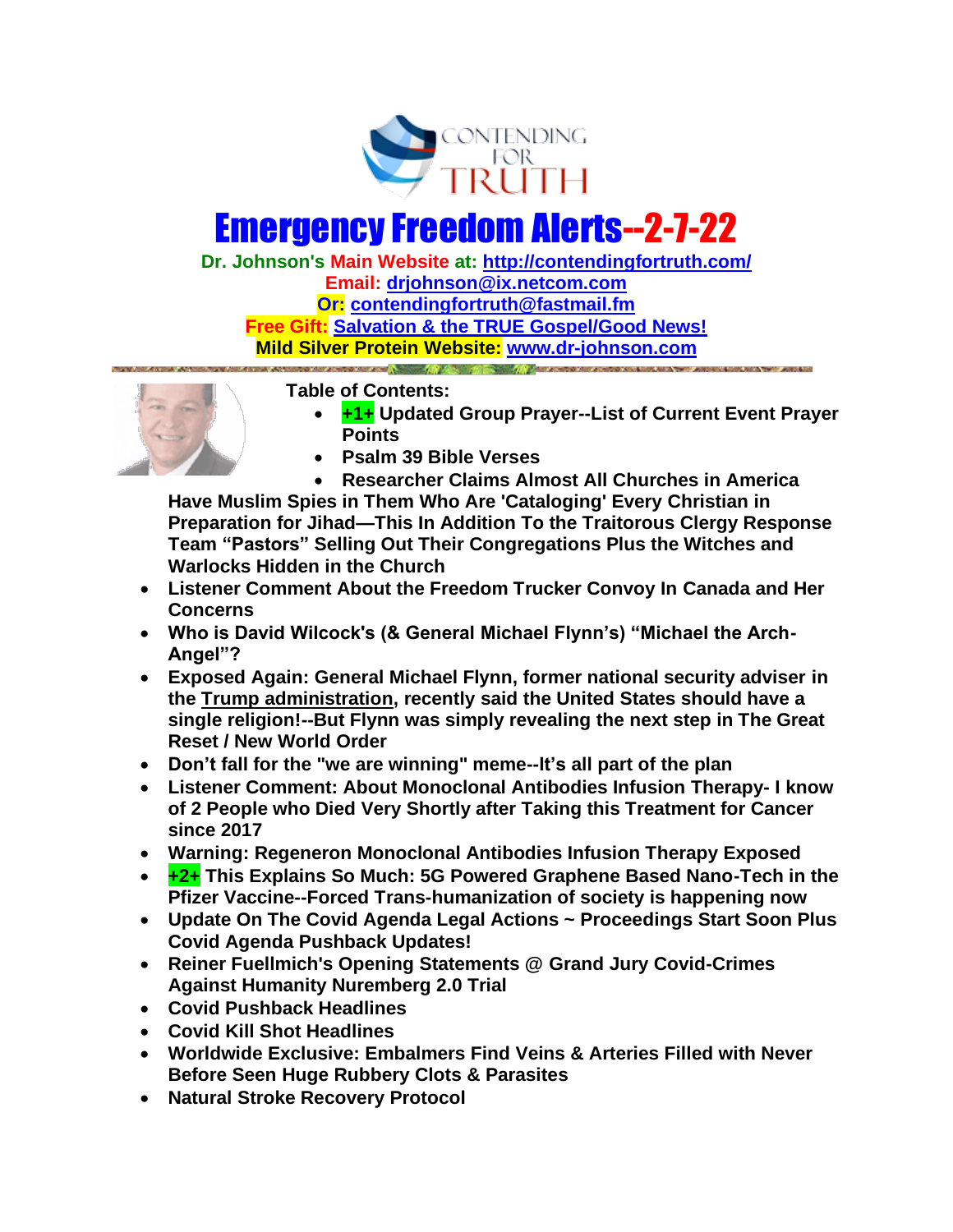

# Emergency Freedom Alerts--2-7-22

**Dr. Johnson's Main Website at:<http://contendingfortruth.com/> Email: [drjohnson@ix.netcom.com](mailto:drjohnson@ix.netcom.com) Or: [contendingfortruth@fastmail.fm](mailto:contendingfortruth@fastmail.fm) Free Gift: [Salvation & the TRUE Gospel/Good News!](http://www.contendingfortruth.com/true-salvation/) Mild Silver Protein Website: [www.dr-johnson.com](http://www.dr-johnson.com/)**



**Table of Contents:** 

- **+1+ Updated Group Prayer--List of Current Event Prayer Points**
- **Psalm 39 Bible Verses**
- **Researcher Claims Almost All Churches in America**

**Have Muslim Spies in Them Who Are 'Cataloging' Every Christian in Preparation for Jihad—This In Addition To the Traitorous Clergy Response Team "Pastors" Selling Out Their Congregations Plus the Witches and Warlocks Hidden in the Church**

- **Listener Comment About the Freedom Trucker Convoy In Canada and Her Concerns**
- **Who is David Wilcock's (& General Michael Flynn's) "Michael the Arch-Angel"?**
- **Exposed Again: General Michael Flynn, former national security adviser in the Trump administration, recently said the United States should have a single religion!--But Flynn was simply revealing the next step in The Great Reset / New World Order**
- **Don't fall for the "we are winning" meme--It's all part of the plan**
- **Listener Comment: About Monoclonal Antibodies Infusion Therapy- I know of 2 People who Died Very Shortly after Taking this Treatment for Cancer since 2017**
- **Warning: Regeneron Monoclonal Antibodies Infusion Therapy Exposed**
- **+2+ This Explains So Much: 5G Powered Graphene Based Nano-Tech in the Pfizer Vaccine--Forced Trans-humanization of society is happening now**
- **Update On The Covid Agenda Legal Actions ~ Proceedings Start Soon Plus Covid Agenda Pushback Updates!**
- **Reiner Fuellmich's Opening Statements @ Grand Jury Covid-Crimes Against Humanity Nuremberg 2.0 Trial**
- **Covid Pushback Headlines**
- **Covid Kill Shot Headlines**
- **Worldwide Exclusive: Embalmers Find Veins & Arteries Filled with Never Before Seen Huge Rubbery Clots & Parasites**
- **Natural Stroke Recovery Protocol**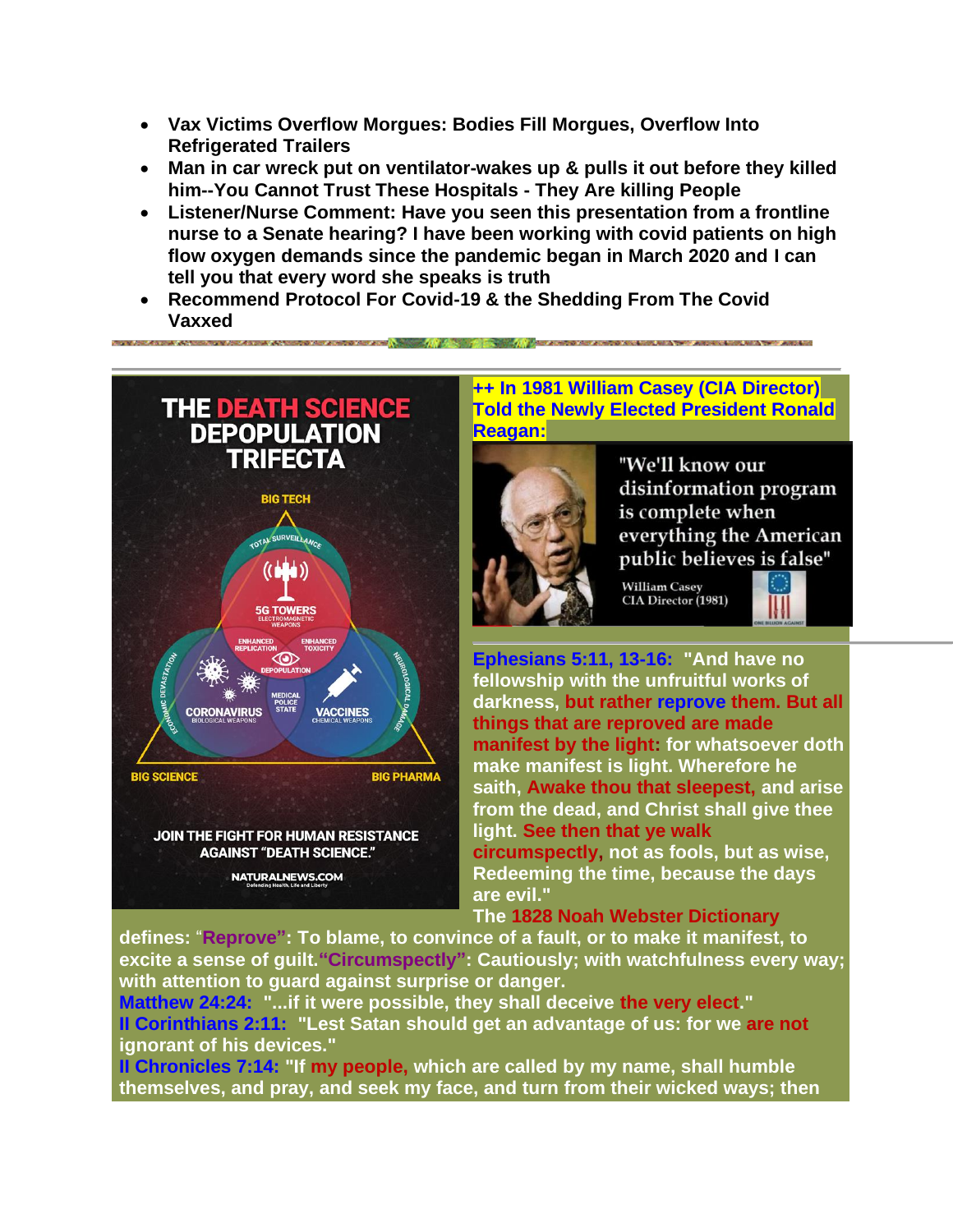- **Vax Victims Overflow Morgues: Bodies Fill Morgues, Overflow Into Refrigerated Trailers**
- **Man in car wreck put on ventilator-wakes up & pulls it out before they killed him--You Cannot Trust These Hospitals - They Are killing People**
- **Listener/Nurse Comment: Have you seen this presentation from a frontline nurse to a Senate hearing? I have been working with covid patients on high flow oxygen demands since the pandemic began in March 2020 and I can tell you that every word she speaks is truth**
- **Recommend Protocol For Covid-19 & the Shedding From The Covid Vaxxed**



**++ In 1981 William Casey (CIA Director) Told the Newly Elected President Ronald Reagan:**



"We'll know our disinformation program is complete when everything the American public believes is false"

**William Casey** CIA Director (1981)



**Ephesians 5:11, 13-16: "And have no fellowship with the unfruitful works of darkness, but rather reprove them. But all things that are reproved are made manifest by the light: for whatsoever doth make manifest is light. Wherefore he saith, Awake thou that sleepest, and arise from the dead, and Christ shall give thee light. See then that ye walk circumspectly, not as fools, but as wise, Redeeming the time, because the days are evil."** 

## **The 1828 Noah Webster Dictionary**

**defines:** "**Reprove": To blame, to convince of a fault, or to make it manifest, to excite a sense of guilt."Circumspectly": Cautiously; with watchfulness every way; with attention to guard against surprise or danger.**

**Matthew 24:24: "...if it were possible, they shall deceive the very elect." II Corinthians 2:11: "Lest Satan should get an advantage of us: for we are not ignorant of his devices."** 

**II Chronicles 7:14: "If my people, which are called by my name, shall humble themselves, and pray, and seek my face, and turn from their wicked ways; then**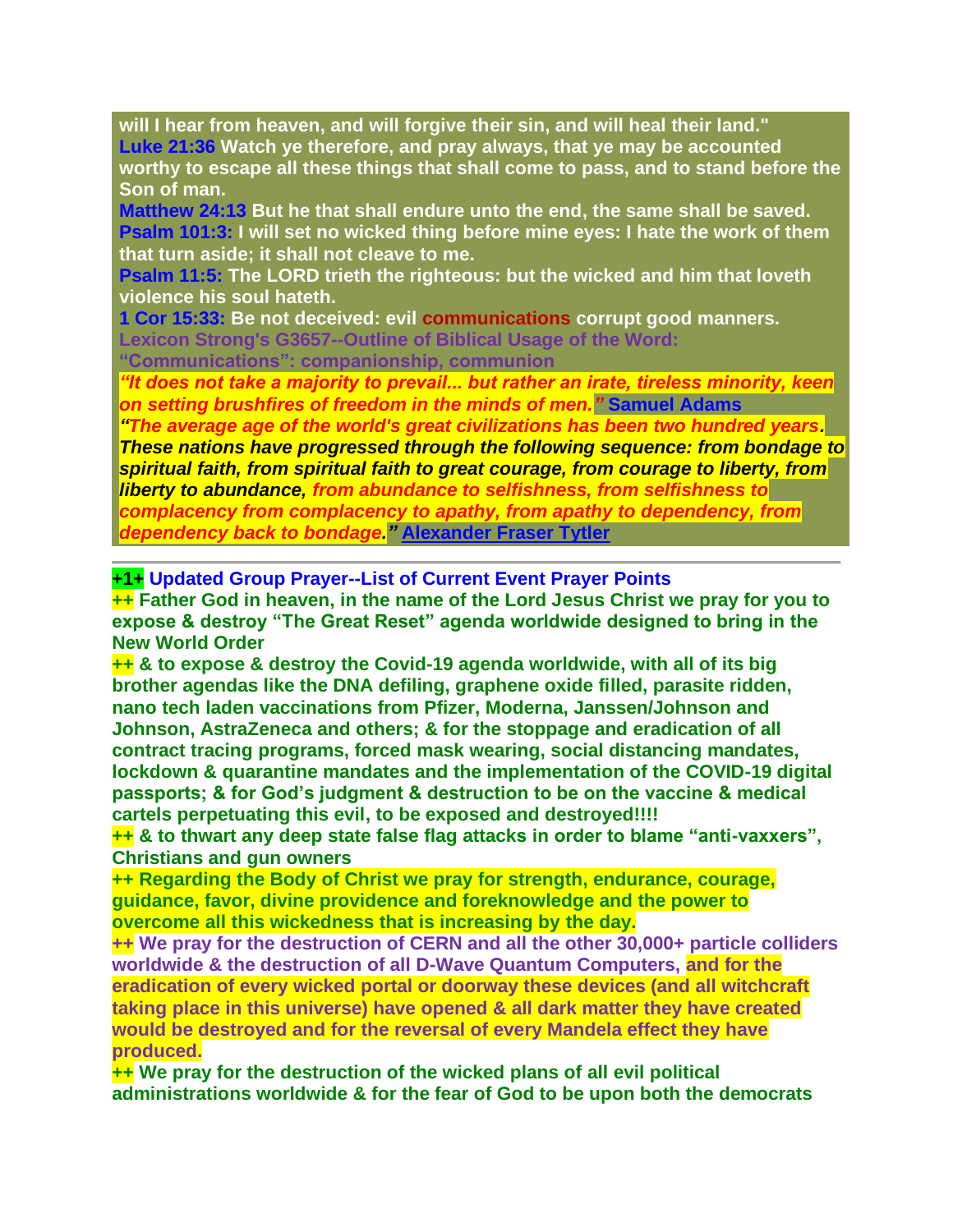**will I hear from heaven, and will forgive their sin, and will heal their land." Luke 21:36 Watch ye therefore, and pray always, that ye may be accounted worthy to escape all these things that shall come to pass, and to stand before the Son of man.**

**Matthew 24:13 But he that shall endure unto the end, the same shall be saved. Psalm 101:3: I will set no wicked thing before mine eyes: I hate the work of them that turn aside; it shall not cleave to me.**

**Psalm 11:5: The LORD trieth the righteous: but the wicked and him that loveth violence his soul hateth.**

**1 Cor 15:33: Be not deceived: evil communications corrupt good manners. Lexicon Strong's G3657--Outline of Biblical Usage of the Word: "Communications": companionship, communion**

*"It does not take a majority to prevail... but rather an irate, tireless minority, keen on setting brushfires of freedom in the minds of men."* **Samuel Adams** 

*"The average age of the world's great civilizations has been two hundred years. These nations have progressed through the following sequence: from bondage to spiritual faith, from spiritual faith to great courage, from courage to liberty, from liberty to abundance, from abundance to selfishness, from selfishness to complacency from complacency to apathy, from apathy to dependency, from dependency back to bondage."* **[Alexander Fraser Tytler](https://www.azquotes.com/author/20531-Alexander_Fraser_Tytler)**

**+1+ Updated Group Prayer--List of Current Event Prayer Points** 

**++ Father God in heaven, in the name of the Lord Jesus Christ we pray for you to expose & destroy "The Great Reset" agenda worldwide designed to bring in the New World Order**

**++ & to expose & destroy the Covid-19 agenda worldwide, with all of its big brother agendas like the DNA defiling, graphene oxide filled, parasite ridden, nano tech laden vaccinations from Pfizer, Moderna, Janssen/Johnson and Johnson, AstraZeneca and others; & for the stoppage and eradication of all contract tracing programs, forced mask wearing, social distancing mandates, lockdown & quarantine mandates and the implementation of the COVID-19 digital passports; & for God's judgment & destruction to be on the vaccine & medical cartels perpetuating this evil, to be exposed and destroyed!!!!**

**++ & to thwart any deep state false flag attacks in order to blame "anti-vaxxers", Christians and gun owners**

**++ Regarding the Body of Christ we pray for strength, endurance, courage, guidance, favor, divine providence and foreknowledge and the power to overcome all this wickedness that is increasing by the day.**

**++ We pray for the destruction of CERN and all the other 30,000+ particle colliders worldwide & the destruction of all D-Wave Quantum Computers, and for the eradication of every wicked portal or doorway these devices (and all witchcraft taking place in this universe) have opened & all dark matter they have created would be destroyed and for the reversal of every Mandela effect they have produced.**

**++ We pray for the destruction of the wicked plans of all evil political administrations worldwide & for the fear of God to be upon both the democrats**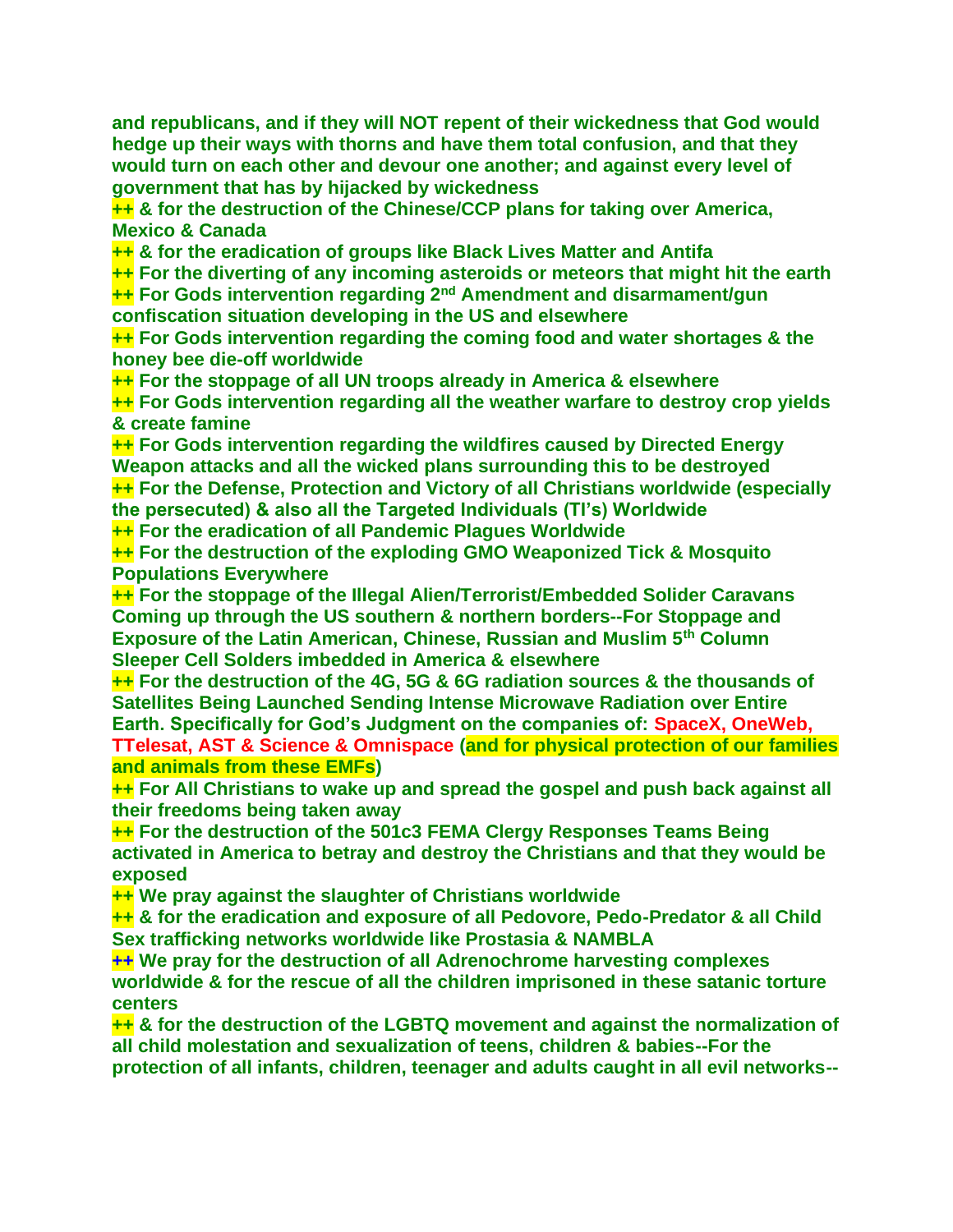**and republicans, and if they will NOT repent of their wickedness that God would hedge up their ways with thorns and have them total confusion, and that they would turn on each other and devour one another; and against every level of government that has by hijacked by wickedness**

**++ & for the destruction of the Chinese/CCP plans for taking over America, Mexico & Canada** 

**++ & for the eradication of groups like Black Lives Matter and Antifa**

**++ For the diverting of any incoming asteroids or meteors that might hit the earth** 

**++ For Gods intervention regarding 2nd Amendment and disarmament/gun confiscation situation developing in the US and elsewhere** 

**++ For Gods intervention regarding the coming food and water shortages & the honey bee die-off worldwide**

**++ For the stoppage of all UN troops already in America & elsewhere**

**++ For Gods intervention regarding all the weather warfare to destroy crop yields & create famine**

**++ For Gods intervention regarding the wildfires caused by Directed Energy Weapon attacks and all the wicked plans surrounding this to be destroyed ++ For the Defense, Protection and Victory of all Christians worldwide (especially the persecuted) & also all the Targeted Individuals (TI's) Worldwide**

**++ For the eradication of all Pandemic Plagues Worldwide**

**++ For the destruction of the exploding GMO Weaponized Tick & Mosquito Populations Everywhere**

**++ For the stoppage of the Illegal Alien/Terrorist/Embedded Solider Caravans Coming up through the US southern & northern borders--For Stoppage and Exposure of the Latin American, Chinese, Russian and Muslim 5th Column Sleeper Cell Solders imbedded in America & elsewhere**

**++ For the destruction of the 4G, 5G & 6G radiation sources & the thousands of Satellites Being Launched Sending Intense Microwave Radiation over Entire Earth. Specifically for God's Judgment on the companies of: SpaceX, OneWeb, TTelesat, AST & Science & Omnispace (and for physical protection of our families and animals from these EMFs)**

**++ For All Christians to wake up and spread the gospel and push back against all their freedoms being taken away** 

**++ For the destruction of the 501c3 FEMA Clergy Responses Teams Being activated in America to betray and destroy the Christians and that they would be exposed**

**++ We pray against the slaughter of Christians worldwide** 

**++ & for the eradication and exposure of all Pedovore, Pedo-Predator & all Child Sex trafficking networks worldwide like Prostasia & NAMBLA**

**++ We pray for the destruction of all Adrenochrome harvesting complexes worldwide & for the rescue of all the children imprisoned in these satanic torture centers**

**++ & for the destruction of the LGBTQ movement and against the normalization of all child molestation and sexualization of teens, children & babies--For the protection of all infants, children, teenager and adults caught in all evil networks--**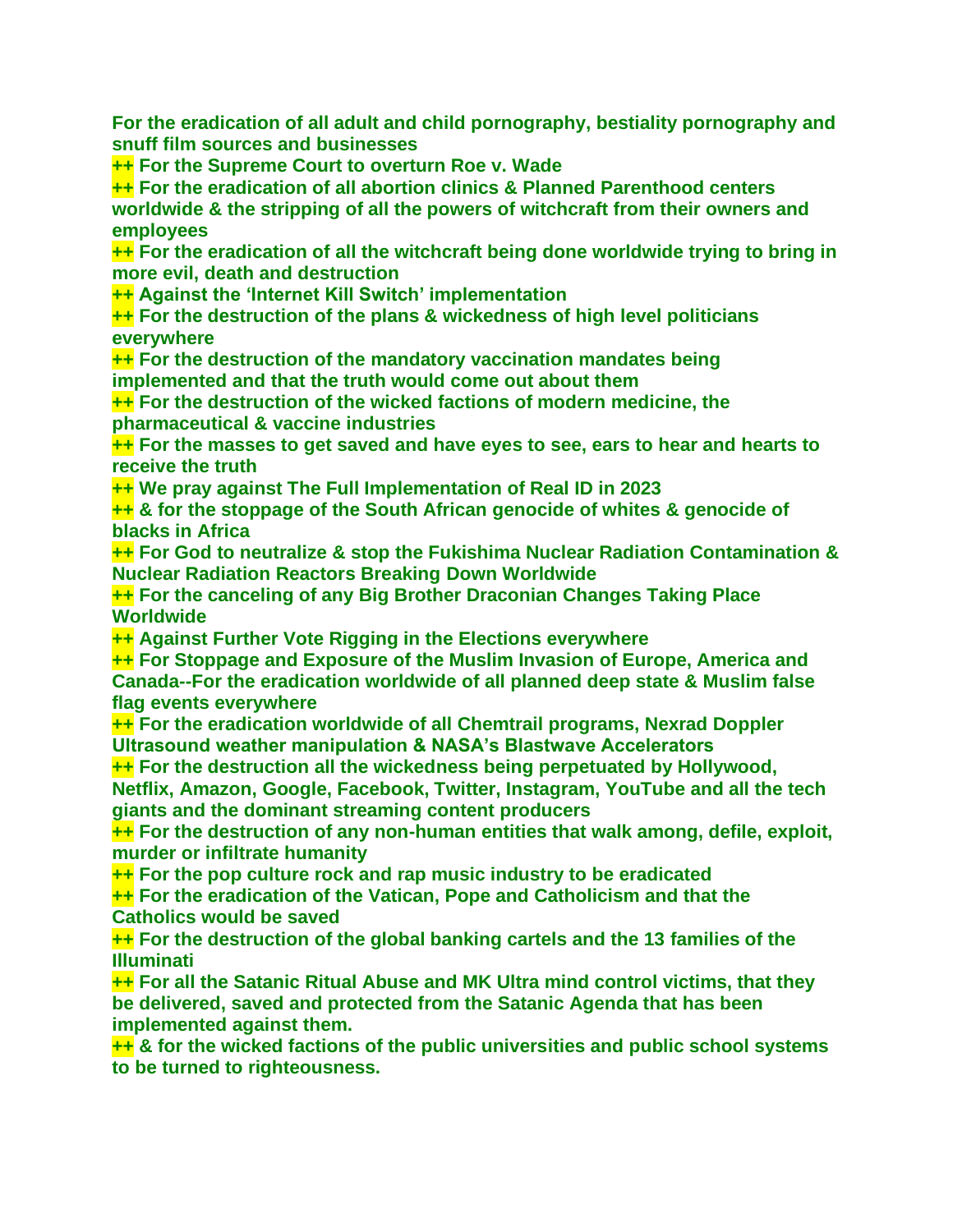**For the eradication of all adult and child pornography, bestiality pornography and snuff film sources and businesses** 

**++ For the Supreme Court to overturn Roe v. Wade**

**++ For the eradication of all abortion clinics & Planned Parenthood centers worldwide & the stripping of all the powers of witchcraft from their owners and employees** 

**++ For the eradication of all the witchcraft being done worldwide trying to bring in more evil, death and destruction**

**++ Against the 'Internet Kill Switch' implementation**

**++ For the destruction of the plans & wickedness of high level politicians everywhere**

**++ For the destruction of the mandatory vaccination mandates being implemented and that the truth would come out about them** 

**++ For the destruction of the wicked factions of modern medicine, the pharmaceutical & vaccine industries**

**++ For the masses to get saved and have eyes to see, ears to hear and hearts to receive the truth**

**++ We pray against The Full Implementation of Real ID in 2023**

**++ & for the stoppage of the South African genocide of whites & genocide of blacks in Africa**

**++ For God to neutralize & stop the Fukishima Nuclear Radiation Contamination & Nuclear Radiation Reactors Breaking Down Worldwide**

**++ For the canceling of any Big Brother Draconian Changes Taking Place Worldwide** 

**++ Against Further Vote Rigging in the Elections everywhere**

**++ For Stoppage and Exposure of the Muslim Invasion of Europe, America and Canada--For the eradication worldwide of all planned deep state & Muslim false flag events everywhere**

**++ For the eradication worldwide of all Chemtrail programs, Nexrad Doppler Ultrasound weather manipulation & NASA's Blastwave Accelerators** 

**++ For the destruction all the wickedness being perpetuated by Hollywood, Netflix, Amazon, Google, Facebook, Twitter, Instagram, YouTube and all the tech giants and the dominant streaming content producers**

**++ For the destruction of any non-human entities that walk among, defile, exploit, murder or infiltrate humanity**

**++ For the pop culture rock and rap music industry to be eradicated**

**++ For the eradication of the Vatican, Pope and Catholicism and that the Catholics would be saved**

**++ For the destruction of the global banking cartels and the 13 families of the Illuminati**

**++ For all the Satanic Ritual Abuse and MK Ultra mind control victims, that they be delivered, saved and protected from the Satanic Agenda that has been implemented against them.**

**++ & for the wicked factions of the public universities and public school systems to be turned to righteousness.**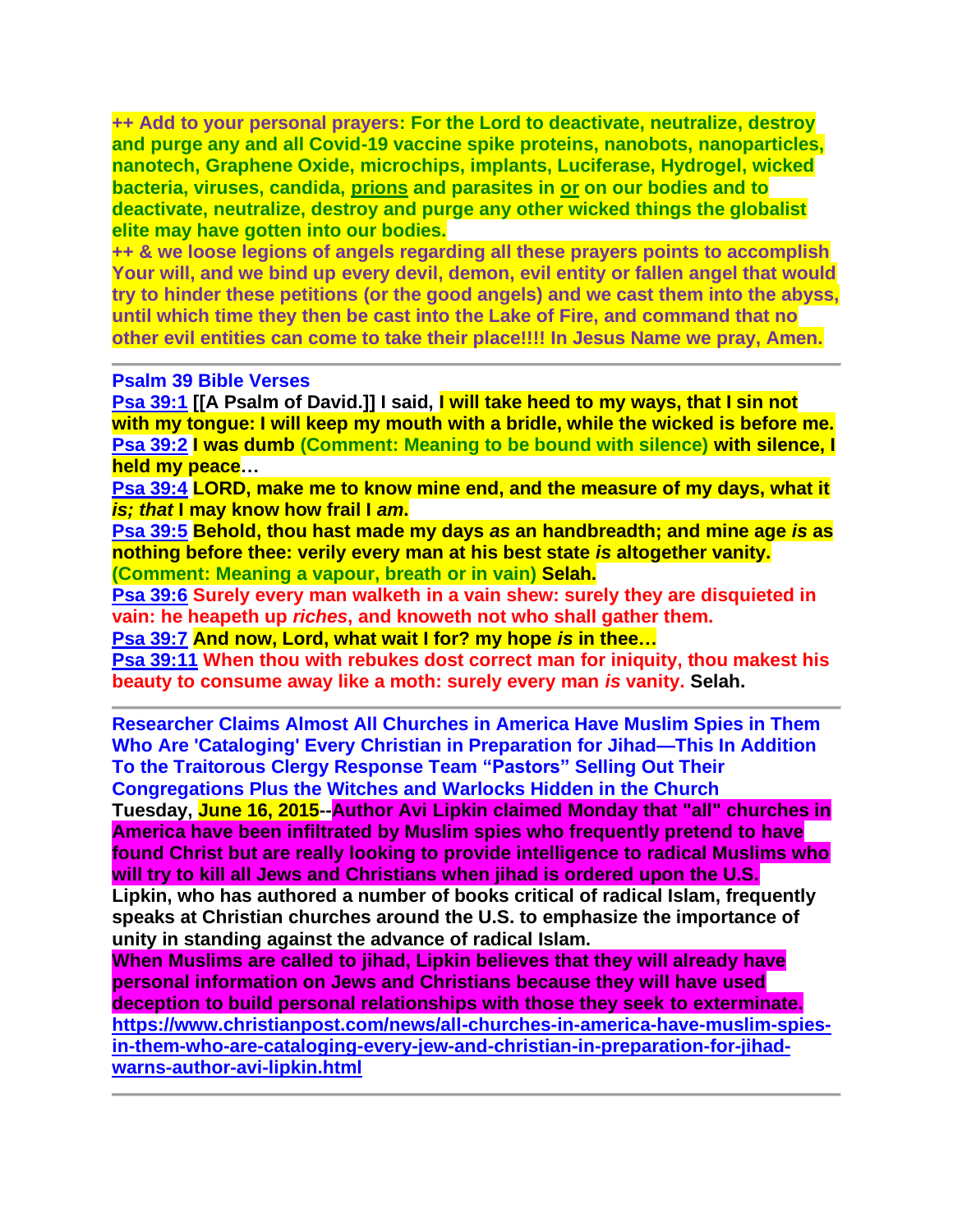**++ Add to your personal prayers: For the Lord to deactivate, neutralize, destroy and purge any and all Covid-19 vaccine spike proteins, nanobots, nanoparticles, nanotech, Graphene Oxide, microchips, implants, Luciferase, Hydrogel, wicked bacteria, viruses, candida, prions and parasites in or on our bodies and to deactivate, neutralize, destroy and purge any other wicked things the globalist elite may have gotten into our bodies.**

**++ & we loose legions of angels regarding all these prayers points to accomplish Your will, and we bind up every devil, demon, evil entity or fallen angel that would try to hinder these petitions (or the good angels) and we cast them into the abyss, until which time they then be cast into the Lake of Fire, and command that no other evil entities can come to take their place!!!! In Jesus Name we pray, Amen.**

#### **Psalm 39 Bible Verses**

**[Psa 39:1](https://www.blueletterbible.org/kjv/psa/39/1/s_517001) [[A Psalm of David.]] I said, I will take heed to my ways, that I sin not with my tongue: I will keep my mouth with a bridle, while the wicked is before me. [Psa 39:2](https://www.blueletterbible.org/kjv/psa/39/2/s_517002) I was dumb (Comment: Meaning to be bound with silence) with silence, I held my peace…**

**[Psa 39:4](https://www.blueletterbible.org/kjv/psa/39/4/s_517004) LORD, make me to know mine end, and the measure of my days, what it**  *is; that* **I may know how frail I** *am***.**

**[Psa 39:5](https://www.blueletterbible.org/kjv/psa/39/5/s_517005) Behold, thou hast made my days** *as* **an handbreadth; and mine age** *is* **as nothing before thee: verily every man at his best state** *is* **altogether vanity. (Comment: Meaning a vapour, breath or in vain) Selah.**

**[Psa 39:6](https://www.blueletterbible.org/kjv/psa/39/6/s_517006) Surely every man walketh in a vain shew: surely they are disquieted in vain: he heapeth up** *riches***, and knoweth not who shall gather them.**

**[Psa 39:7](https://www.blueletterbible.org/kjv/psa/39/7/s_517007) And now, Lord, what wait I for? my hope** *is* **in thee…**

**[Psa 39:11](https://www.blueletterbible.org/kjv/psa/39/11/s_517011) When thou with rebukes dost correct man for iniquity, thou makest his beauty to consume away like a moth: surely every man** *is* **vanity. Selah.**

**Researcher Claims Almost All Churches in America Have Muslim Spies in Them Who Are 'Cataloging' Every Christian in Preparation for Jihad—This In Addition To the Traitorous Clergy Response Team "Pastors" Selling Out Their Congregations Plus the Witches and Warlocks Hidden in the Church**

**Tuesday, June 16, 2015--Author Avi Lipkin claimed Monday that "all" churches in America have been infiltrated by Muslim spies who frequently pretend to have found Christ but are really looking to provide intelligence to radical Muslims who will try to kill all Jews and Christians when jihad is ordered upon the U.S.**

**Lipkin, who has authored a number of books critical of radical Islam, frequently speaks at Christian churches around the U.S. to emphasize the importance of unity in standing against the advance of radical Islam.** 

**When Muslims are called to jihad, Lipkin believes that they will already have personal information on Jews and Christians because they will have used deception to build personal relationships with those they seek to exterminate. [https://www.christianpost.com/news/all-churches-in-america-have-muslim-spies](https://www.christianpost.com/news/all-churches-in-america-have-muslim-spies-in-them-who-are-cataloging-every-jew-and-christian-in-preparation-for-jihad-warns-author-avi-lipkin.html)[in-them-who-are-cataloging-every-jew-and-christian-in-preparation-for-jihad](https://www.christianpost.com/news/all-churches-in-america-have-muslim-spies-in-them-who-are-cataloging-every-jew-and-christian-in-preparation-for-jihad-warns-author-avi-lipkin.html)[warns-author-avi-lipkin.html](https://www.christianpost.com/news/all-churches-in-america-have-muslim-spies-in-them-who-are-cataloging-every-jew-and-christian-in-preparation-for-jihad-warns-author-avi-lipkin.html)**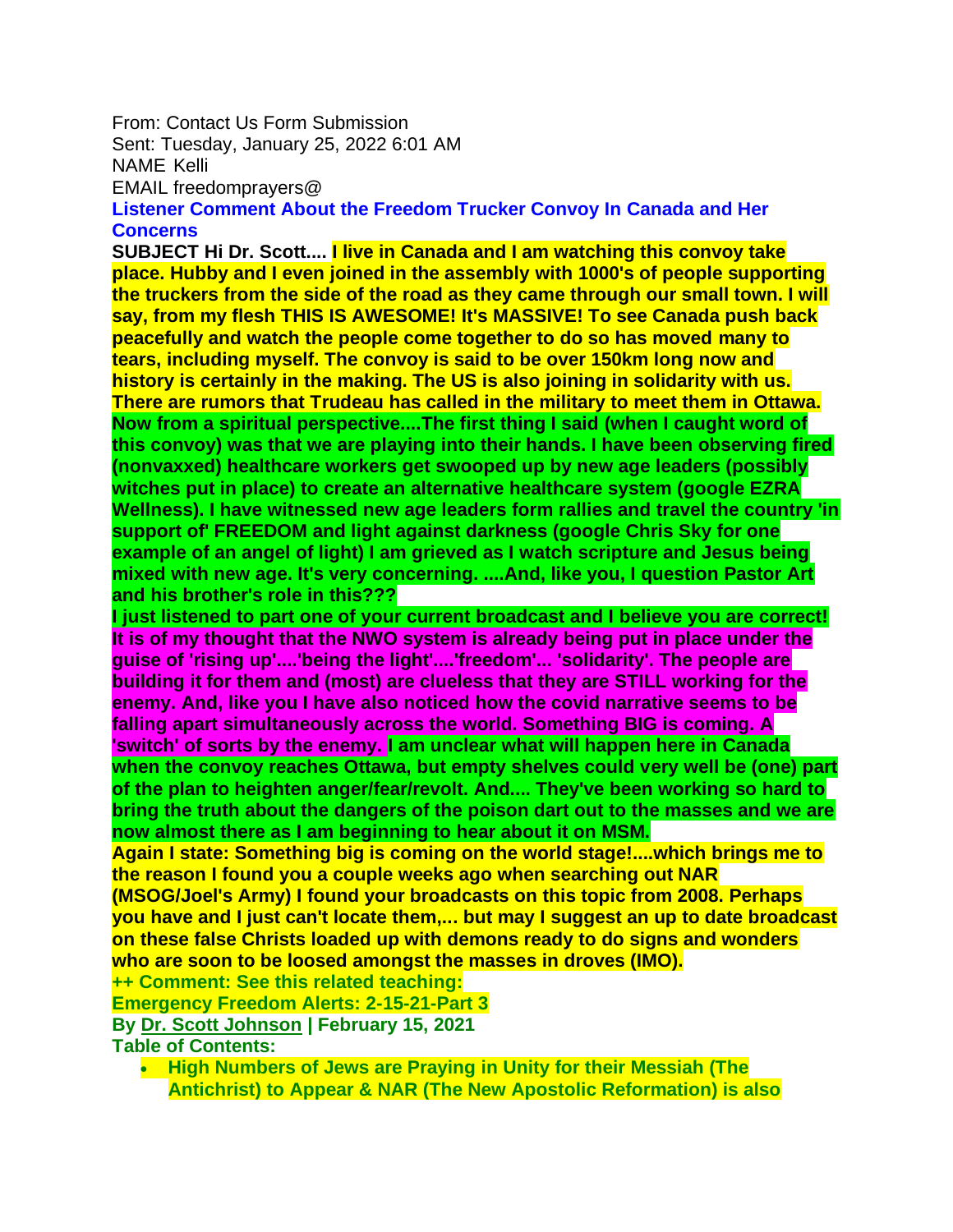From: Contact Us Form Submission

Sent: Tuesday, January 25, 2022 6:01 AM

NAME Kelli

EMAIL freedomprayers@

**Listener Comment About the Freedom Trucker Convoy In Canada and Her Concerns**

**SUBJECT Hi Dr. Scott.... I live in Canada and I am watching this convoy take place. Hubby and I even joined in the assembly with 1000's of people supporting the truckers from the side of the road as they came through our small town. I will say, from my flesh THIS IS AWESOME! It's MASSIVE! To see Canada push back peacefully and watch the people come together to do so has moved many to tears, including myself. The convoy is said to be over 150km long now and history is certainly in the making. The US is also joining in solidarity with us. There are rumors that Trudeau has called in the military to meet them in Ottawa. Now from a spiritual perspective....The first thing I said (when I caught word of this convoy) was that we are playing into their hands. I have been observing fired (nonvaxxed) healthcare workers get swooped up by new age leaders (possibly witches put in place) to create an alternative healthcare system (google EZRA Wellness). I have witnessed new age leaders form rallies and travel the country 'in support of' FREEDOM and light against darkness (google Chris Sky for one example of an angel of light) I am grieved as I watch scripture and Jesus being mixed with new age. It's very concerning. ....And, like you, I question Pastor Art and his brother's role in this???**

**I just listened to part one of your current broadcast and I believe you are correct! It is of my thought that the NWO system is already being put in place under the guise of 'rising up'....'being the light'....'freedom'... 'solidarity'. The people are building it for them and (most) are clueless that they are STILL working for the enemy. And, like you I have also noticed how the covid narrative seems to be falling apart simultaneously across the world. Something BIG is coming. A 'switch' of sorts by the enemy. I am unclear what will happen here in Canada when the convoy reaches Ottawa, but empty shelves could very well be (one) part of the plan to heighten anger/fear/revolt. And.... They've been working so hard to bring the truth about the dangers of the poison dart out to the masses and we are now almost there as I am beginning to hear about it on MSM.**

**Again I state: Something big is coming on the world stage!....which brings me to the reason I found you a couple weeks ago when searching out NAR** 

**(MSOG/Joel's Army) I found your broadcasts on this topic from 2008. Perhaps you have and I just can't locate them,... but may I suggest an up to date broadcast on these false Christs loaded up with demons ready to do signs and wonders who are soon to be loosed amongst the masses in droves (IMO).**

**++ Comment: See this related teaching:**

**Emergency Freedom Alerts: 2-15-21-Part 3**

**By [Dr. Scott Johnson](https://www.contendingfortruth.com/author/dr-scott-johnson/) | February 15, 2021 Table of Contents:**

• **High Numbers of Jews are Praying in Unity for their Messiah (The Antichrist) to Appear & NAR (The New Apostolic Reformation) is also**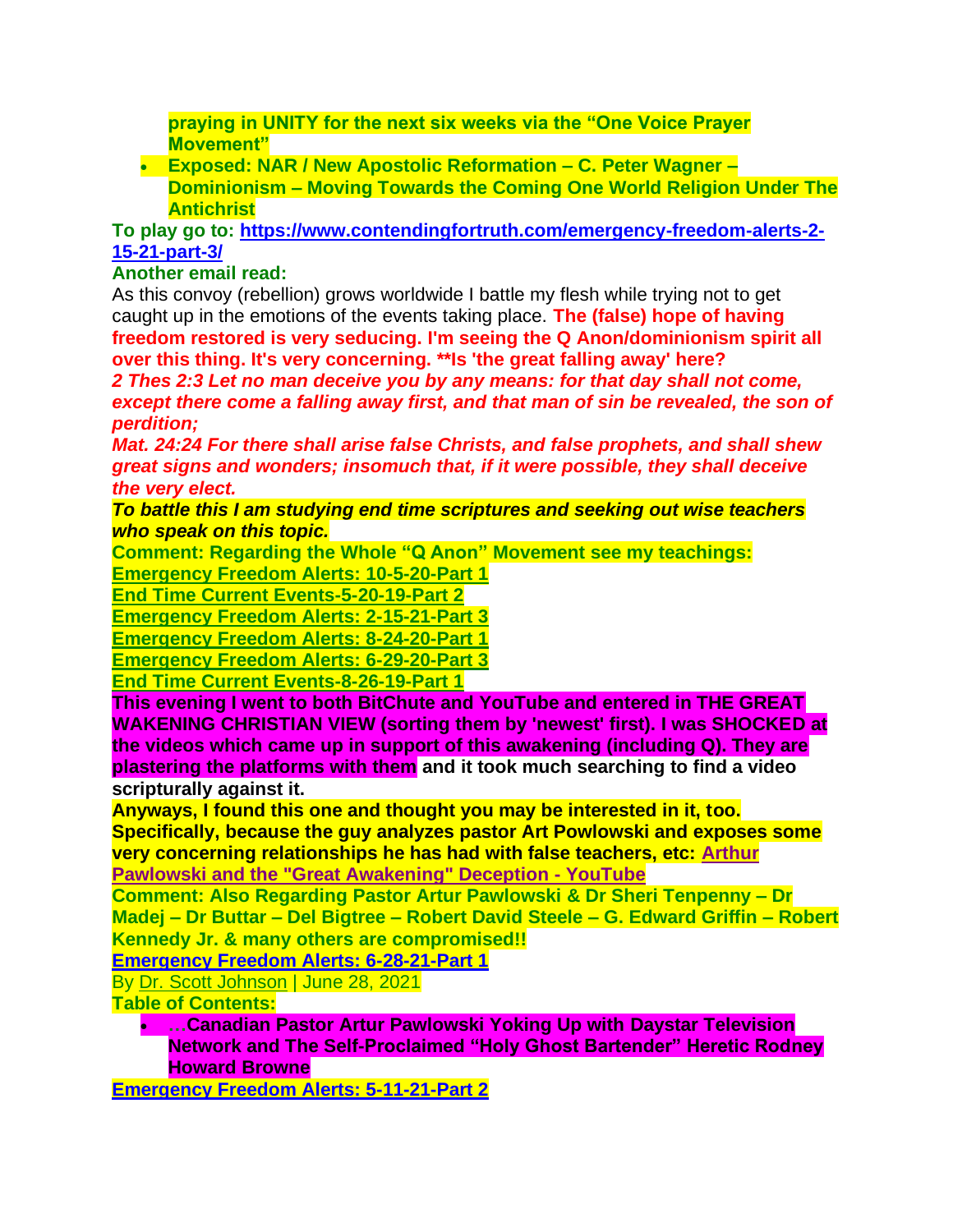**praying in UNITY for the next six weeks via the "One Voice Prayer Movement"**

• **Exposed: NAR / New Apostolic Reformation – C. Peter Wagner – Dominionism – Moving Towards the Coming One World Religion Under The Antichrist**

**To play go to: [https://www.contendingfortruth.com/emergency-freedom-alerts-2-](https://www.contendingfortruth.com/emergency-freedom-alerts-2-15-21-part-3/) [15-21-part-3/](https://www.contendingfortruth.com/emergency-freedom-alerts-2-15-21-part-3/)**

## **Another email read:**

As this convoy (rebellion) grows worldwide I battle my flesh while trying not to get caught up in the emotions of the events taking place. **The (false) hope of having freedom restored is very seducing. I'm seeing the Q Anon/dominionism spirit all over this thing. It's very concerning. \*\*Is 'the great falling away' here?**

*2 Thes 2:3 Let no man deceive you by any means: for that day shall not come, except there come a falling away first, and that man of sin be revealed, the son of perdition;*

*Mat. 24:24 For there shall arise false Christs, and false prophets, and shall shew great signs and wonders; insomuch that, if it were possible, they shall deceive the very elect.*

*To battle this I am studying end time scriptures and seeking out wise teachers who speak on this topic.*

**Comment: Regarding the Whole "Q Anon" Movement see my teachings: [Emergency Freedom Alerts: 10-5-20-Part 1](https://www.contendingfortruth.com/emergency-freedom-alerts-10-5-20-part-1/)**

**[End Time Current Events-5-20-19-Part 2](https://www.contendingfortruth.com/end-time-current-events-5-20-19-part-2/)**

**[Emergency Freedom Alerts: 2-15-21-Part 3](https://www.contendingfortruth.com/emergency-freedom-alerts-2-15-21-part-3/)**

**[Emergency Freedom Alerts: 8-24-20-Part 1](https://www.contendingfortruth.com/emergency-freedom-alerts-8-24-20-part-1/)**

**[Emergency Freedom Alerts: 6-29-20-Part 3](https://www.contendingfortruth.com/emergency-freedom-alerts-6-29-20-part-3/)**

**[End Time Current Events-8-26-19-Part 1](https://www.contendingfortruth.com/end-time-current-events-8-26-19-part-1/)**

**This evening I went to both BitChute and YouTube and entered in THE GREAT WAKENING CHRISTIAN VIEW (sorting them by 'newest' first). I was SHOCKED at the videos which came up in support of this awakening (including Q). They are plastering the platforms with them and it took much searching to find a video scripturally against it.**

**Anyways, I found this one and thought you may be interested in it, too.** 

**Specifically, because the guy analyzes pastor Art Powlowski and exposes some very concerning relationships he has had with false teachers, etc: [Arthur](https://www.youtube.com/watch?v=eaxJ4BZC5aQ)  [Pawlowski and the "Great Awakening" Deception -](https://www.youtube.com/watch?v=eaxJ4BZC5aQ) YouTube** 

**Comment: Also Regarding Pastor Artur Pawlowski & Dr Sheri Tenpenny – Dr Madej – Dr Buttar – Del Bigtree – Robert David Steele – G. Edward Griffin – Robert Kennedy Jr. & many others are compromised!!**

**[Emergency Freedom Alerts: 6-28-21-Part 1](https://www.contendingfortruth.com/emergency-freedom-alerts-6-28-21-part-1/)**

By [Dr. Scott Johnson](https://www.contendingfortruth.com/author/dr-scott-johnson/) | June 28, 2021

**Table of Contents:**

• **…Canadian Pastor Artur Pawlowski Yoking Up with Daystar Television Network and The Self-Proclaimed "Holy Ghost Bartender" Heretic Rodney Howard Browne** 

**[Emergency Freedom Alerts: 5-11-21-Part 2](https://www.contendingfortruth.com/emergency-freedom-alerts-5-11-21-part-2/)**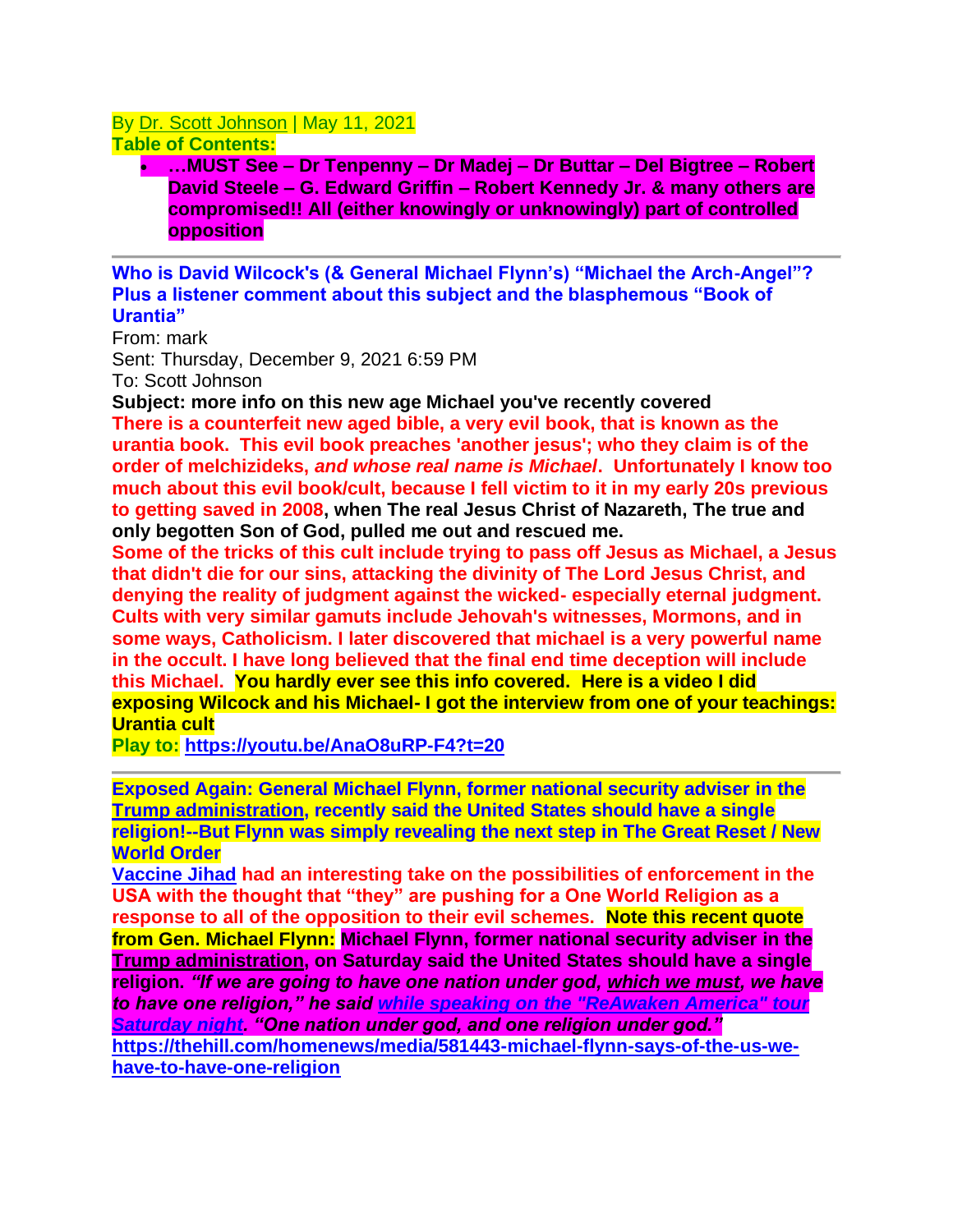## By [Dr. Scott Johnson](https://www.contendingfortruth.com/author/dr-scott-johnson/) | May 11, 2021 **Table of Contents:**

• **…MUST See – Dr Tenpenny – Dr Madej – Dr Buttar – Del Bigtree – Robert David Steele – G. Edward Griffin – Robert Kennedy Jr. & many others are compromised!! All (either knowingly or unknowingly) part of controlled opposition**

**Who is David Wilcock's (& General Michael Flynn's) "Michael the Arch-Angel"? Plus a listener comment about this subject and the blasphemous "Book of Urantia"**

From: mark Sent: Thursday, December 9, 2021 6:59 PM To: Scott Johnson

**Subject: more info on this new age Michael you've recently covered There is a counterfeit new aged bible, a very evil book, that is known as the urantia book. This evil book preaches 'another jesus'; who they claim is of the order of melchizideks,** *and whose real name is Michael***. Unfortunately I know too much about this evil book/cult, because I fell victim to it in my early 20s previous to getting saved in 2008, when The real Jesus Christ of Nazareth, The true and only begotten Son of God, pulled me out and rescued me.**

**Some of the tricks of this cult include trying to pass off Jesus as Michael, a Jesus that didn't die for our sins, attacking the divinity of The Lord Jesus Christ, and denying the reality of judgment against the wicked- especially eternal judgment. Cults with very similar gamuts include Jehovah's witnesses, Mormons, and in some ways, Catholicism. I later discovered that michael is a very powerful name in the occult. I have long believed that the final end time deception will include this Michael. You hardly ever see this info covered. Here is a video I did exposing Wilcock and his Michael- I got the interview from one of your teachings: Urantia cult**

**Play to: <https://youtu.be/AnaO8uRP-F4?t=20>**

**Exposed Again: General Michael Flynn, former national security adviser in the Trump administration, recently said the United States should have a single religion!--But Flynn was simply revealing the next step in The Great Reset / New World Order**

**[Vaccine Jihad](https://vaccinejihad.com/2021-11-29-australian-military-forcibly-injecting-indigenous-covid-vaccines.html) had an interesting take on the possibilities of enforcement in the USA with the thought that "they" are pushing for a One World Religion as a response to all of the opposition to their evil schemes. Note this recent quote from Gen. Michael Flynn: Michael Flynn, former national security adviser in the Trump administration, on Saturday said the United States should have a single religion.** *"If we are going to have one nation under god, which we must, we have to have one religion," he said [while speaking on the "ReAwaken America" tour](https://americanfaith.com/tv/?_ga=2.13811700.2111361818.1636852287-1174415385.1636852287)  [Saturday](https://americanfaith.com/tv/?_ga=2.13811700.2111361818.1636852287-1174415385.1636852287) night. "One nation under god, and one religion under god."*  **[https://thehill.com/homenews/media/581443-michael-flynn-says-of-the-us-we](https://thehill.com/homenews/media/581443-michael-flynn-says-of-the-us-we-have-to-have-one-religion)[have-to-have-one-religion](https://thehill.com/homenews/media/581443-michael-flynn-says-of-the-us-we-have-to-have-one-religion)**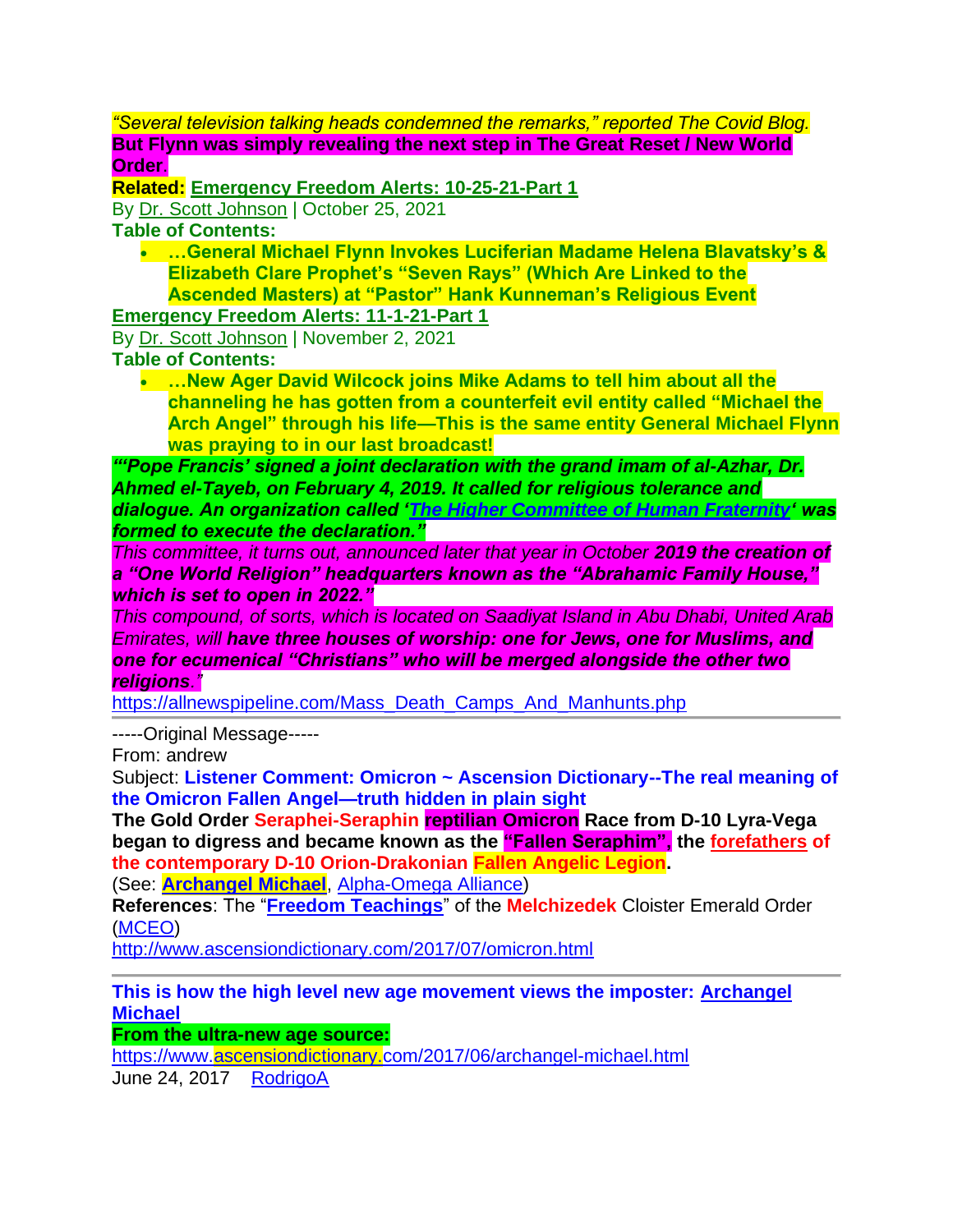*"Several television talking heads condemned the remarks," reported The Covid Blog.* **But Flynn was simply revealing the next step in The Great Reset / New World Order**.

**Related: [Emergency Freedom Alerts: 10-25-21-Part 1](https://www.contendingfortruth.com/emergency-freedom-alerts-10-25-21-part-1/)**

By [Dr. Scott Johnson](https://www.contendingfortruth.com/author/dr-scott-johnson/) | October 25, 2021

**Table of Contents:**

• **…General Michael Flynn Invokes Luciferian Madame Helena Blavatsky's & Elizabeth Clare Prophet's "Seven Rays" (Which Are Linked to the Ascended Masters) at "Pastor" Hank Kunneman's Religious Event**

**[Emergency Freedom Alerts: 11-1-21-Part 1](https://www.contendingfortruth.com/emergency-freedom-alerts-11-1-21-part-1/)**

By [Dr. Scott Johnson](https://www.contendingfortruth.com/author/dr-scott-johnson/) | November 2, 2021 **Table of Contents:**

• **…New Ager David Wilcock joins Mike Adams to tell him about all the channeling he has gotten from a counterfeit evil entity called "Michael the Arch Angel" through his life—This is the same entity General Michael Flynn was praying to in our last broadcast!** 

*"'Pope Francis' signed a joint declaration with the grand imam of al-Azhar, Dr. Ahmed el-Tayeb, on February 4, 2019. It called for religious tolerance and dialogue. An organization called ['The Higher Committee of Human Fraternity'](https://www.forhumanfraternity.org/higher-committee/) was formed to execute the declaration."*

*This committee, it turns out, announced later that year in October 2019 the creation of a "One World Religion" headquarters known as the "Abrahamic Family House," which is set to open in 2022."*

*This compound, of sorts, which is located on Saadiyat Island in Abu Dhabi, United Arab Emirates, will have three houses of worship: one for Jews, one for Muslims, and one for ecumenical "Christians" who will be merged alongside the other two religions."*

[https://allnewspipeline.com/Mass\\_Death\\_Camps\\_And\\_Manhunts.php](https://allnewspipeline.com/Mass_Death_Camps_And_Manhunts.php)

-----Original Message-----

From: andrew

Subject: **Listener Comment: Omicron ~ Ascension Dictionary--The real meaning of the Omicron Fallen Angel—truth hidden in plain sight** 

**The Gold Order Seraphei-Seraphin reptilian Omicron Race from D-10 Lyra-Vega began to digress and became known as the "Fallen Seraphim", the forefathers of the contemporary D-10 Orion-Drakonian Fallen Angelic Legion.**

(See: **[Archangel Michael](http://www.ascensiondictionary.com/2017/06/archangel-michael.html)**, [Alpha-Omega Alliance\)](http://www.ascensiondictionary.com/2017/06/alpha-omega-alliance.html)

**References**: The "**[Freedom Teachings](http://www.ascensiondictionary.com/2017/06/freedom-teachings.html)**" of the **Melchizedek** Cloister Emerald Order [\(MCEO\)](http://www.ascensiondictionary.com/2017/06/mceo.html)

<http://www.ascensiondictionary.com/2017/07/omicron.html>

## **This is how the high level new age movement views the imposter: [Archangel](https://www.ascensiondictionary.com/2017/06/archangel-michael.html)  [Michael](https://www.ascensiondictionary.com/2017/06/archangel-michael.html)**

**From the ultra-new age source:**

<https://www.ascensiondictionary.com/2017/06/archangel-michael.html> June 24, 2017 [RodrigoA](https://www.blogger.com/profile/10903717584325136280)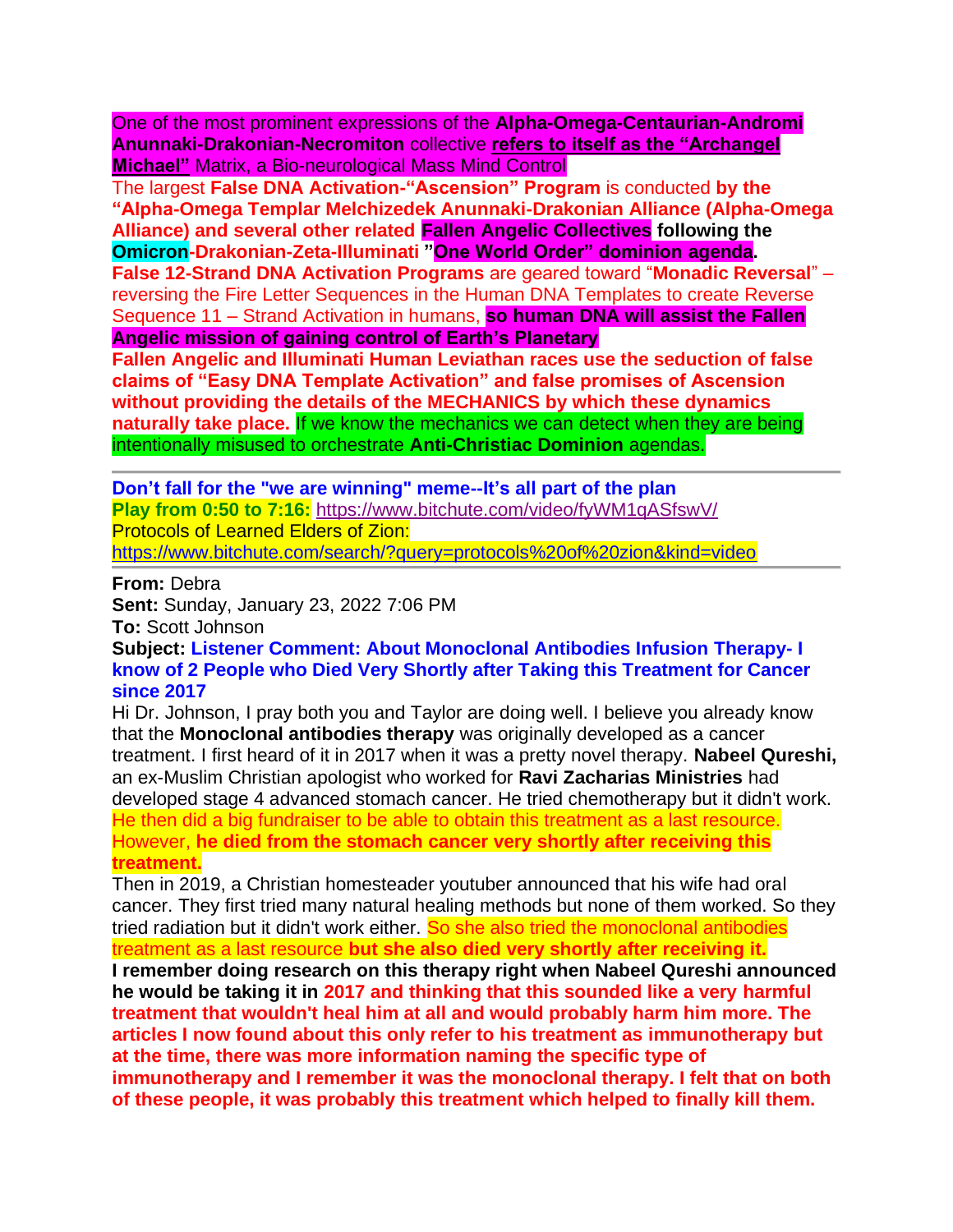One of the most prominent expressions of the **Alpha-Omega-Centaurian-Andromi Anunnaki-Drakonian-Necromiton** collective **refers to itself as the "Archangel Michael"** Matrix, a Bio-neurological Mass Mind Control

The largest **False DNA Activation-"Ascension" Program** is conducted **by the "Alpha-Omega Templar Melchizedek Anunnaki-Drakonian Alliance (Alpha-Omega Alliance) and several other related Fallen Angelic Collectives following the Omicron-Drakonian-Zeta-Illuminati "One World Order" dominion agenda. False 12-Strand DNA Activation Programs** are geared toward "**Monadic Reversal**" – reversing the Fire Letter Sequences in the Human DNA Templates to create Reverse Sequence 11 – Strand Activation in humans, **so human DNA will assist the Fallen Angelic mission of gaining control of Earth's Planetary**

**Fallen Angelic and Illuminati Human Leviathan races use the seduction of false claims of "Easy DNA Template Activation" and false promises of Ascension without providing the details of the MECHANICS by which these dynamics naturally take place.** If we know the mechanics we can detect when they are being intentionally misused to orchestrate **Anti-Christiac Dominion** agendas.

**Don't fall for the "we are winning" meme--It's all part of the plan Play from 0:50 to 7:16:** <https://www.bitchute.com/video/fyWM1qASfswV/> Protocols of Learned Elders of Zion: <https://www.bitchute.com/search/?query=protocols%20of%20zion&kind=video>

**From:** Debra

**Sent:** Sunday, January 23, 2022 7:06 PM

**To:** Scott Johnson

**Subject: Listener Comment: About Monoclonal Antibodies Infusion Therapy- I know of 2 People who Died Very Shortly after Taking this Treatment for Cancer since 2017**

Hi Dr. Johnson, I pray both you and Taylor are doing well. I believe you already know that the **Monoclonal antibodies therapy** was originally developed as a cancer treatment. I first heard of it in 2017 when it was a pretty novel therapy. **Nabeel Qureshi,**  an ex-Muslim Christian apologist who worked for **Ravi Zacharias Ministries** had developed stage 4 advanced stomach cancer. He tried chemotherapy but it didn't work. He then did a big fundraiser to be able to obtain this treatment as a last resource. However, **he died from the stomach cancer very shortly after receiving this treatment.**

Then in 2019, a Christian homesteader youtuber announced that his wife had oral cancer. They first tried many natural healing methods but none of them worked. So they tried radiation but it didn't work either. So she also tried the monoclonal antibodies treatment as a last resource **but she also died very shortly after receiving it. I remember doing research on this therapy right when Nabeel Qureshi announced he would be taking it in 2017 and thinking that this sounded like a very harmful treatment that wouldn't heal him at all and would probably harm him more. The articles I now found about this only refer to his treatment as immunotherapy but at the time, there was more information naming the specific type of immunotherapy and I remember it was the monoclonal therapy. I felt that on both of these people, it was probably this treatment which helped to finally kill them.**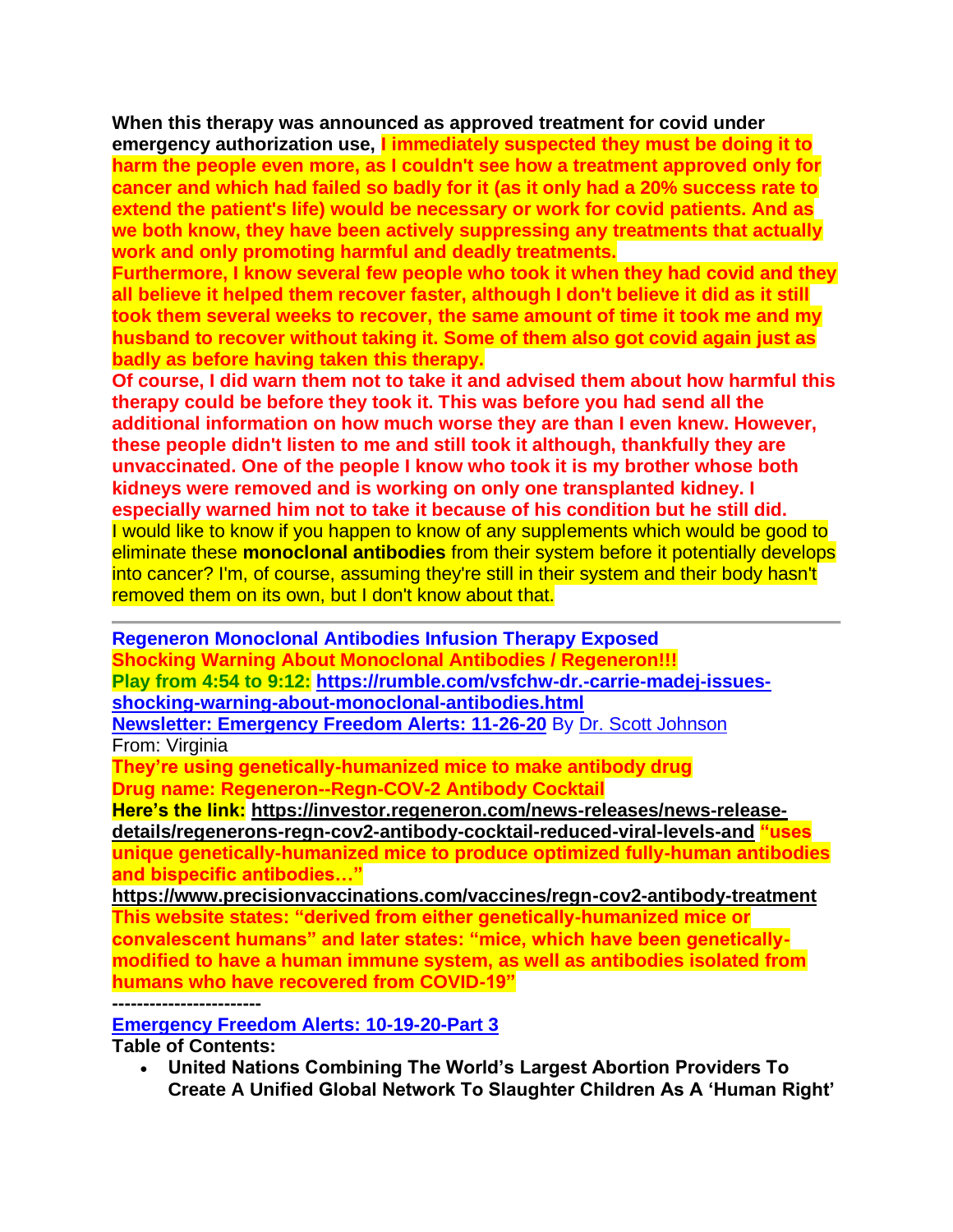**When this therapy was announced as approved treatment for covid under emergency authorization use, I immediately suspected they must be doing it to harm the people even more, as I couldn't see how a treatment approved only for cancer and which had failed so badly for it (as it only had a 20% success rate to extend the patient's life) would be necessary or work for covid patients. And as we both know, they have been actively suppressing any treatments that actually work and only promoting harmful and deadly treatments.**

**Furthermore, I know several few people who took it when they had covid and they all believe it helped them recover faster, although I don't believe it did as it still took them several weeks to recover, the same amount of time it took me and my husband to recover without taking it. Some of them also got covid again just as badly as before having taken this therapy.**

**Of course, I did warn them not to take it and advised them about how harmful this therapy could be before they took it. This was before you had send all the additional information on how much worse they are than I even knew. However, these people didn't listen to me and still took it although, thankfully they are unvaccinated. One of the people I know who took it is my brother whose both kidneys were removed and is working on only one transplanted kidney. I especially warned him not to take it because of his condition but he still did.** I would like to know if you happen to know of any supplements which would be good to eliminate these **monoclonal antibodies** from their system before it potentially develops into cancer? I'm, of course, assuming they're still in their system and their body hasn't removed them on its own, but I don't know about that.

**Regeneron Monoclonal Antibodies Infusion Therapy Exposed Shocking Warning About Monoclonal Antibodies / Regeneron!!! Play from 4:54 to 9:12: [https://rumble.com/vsfchw-dr.-carrie-madej-issues](https://rumble.com/vsfchw-dr.-carrie-madej-issues-shocking-warning-about-monoclonal-antibodies.html)[shocking-warning-about-monoclonal-antibodies.html](https://rumble.com/vsfchw-dr.-carrie-madej-issues-shocking-warning-about-monoclonal-antibodies.html) [Newsletter: Emergency Freedom Alerts: 11-26-20](https://www.contendingfortruth.com/newsletter-emergency-freedom-alerts-11-26-20/)** By [Dr. Scott Johnson](https://www.contendingfortruth.com/author/dr-scott-johnson/) From: Virginia

**They're using genetically-humanized mice to make antibody drug Drug name: Regeneron--Regn-COV-2 Antibody Cocktail**

**Here's the link: [https://investor.regeneron.com/news-releases/news-release](https://investor.regeneron.com/news-releases/news-release-details/regenerons-regn-cov2-antibody-cocktail-reduced-viral-levels-and)[details/regenerons-regn-cov2-antibody-cocktail-reduced-viral-levels-and](https://investor.regeneron.com/news-releases/news-release-details/regenerons-regn-cov2-antibody-cocktail-reduced-viral-levels-and) "uses unique genetically-humanized mice to produce optimized fully-human antibodies and bispecific antibodies…"**

**<https://www.precisionvaccinations.com/vaccines/regn-cov2-antibody-treatment> This website states: "derived from either genetically-humanized mice or convalescent humans" and later states: "mice, which have been geneticallymodified to have a human immune system, as well as antibodies isolated from humans who have recovered from COVID-19"**

**------------------------**

**[Emergency Freedom Alerts: 10-19-20-Part 3](https://www.contendingfortruth.com/emergency-freedom-alerts-10-19-20-part-3/)**

**Table of Contents:**

• **United Nations Combining The World's Largest Abortion Providers To Create A Unified Global Network To Slaughter Children As A 'Human Right'**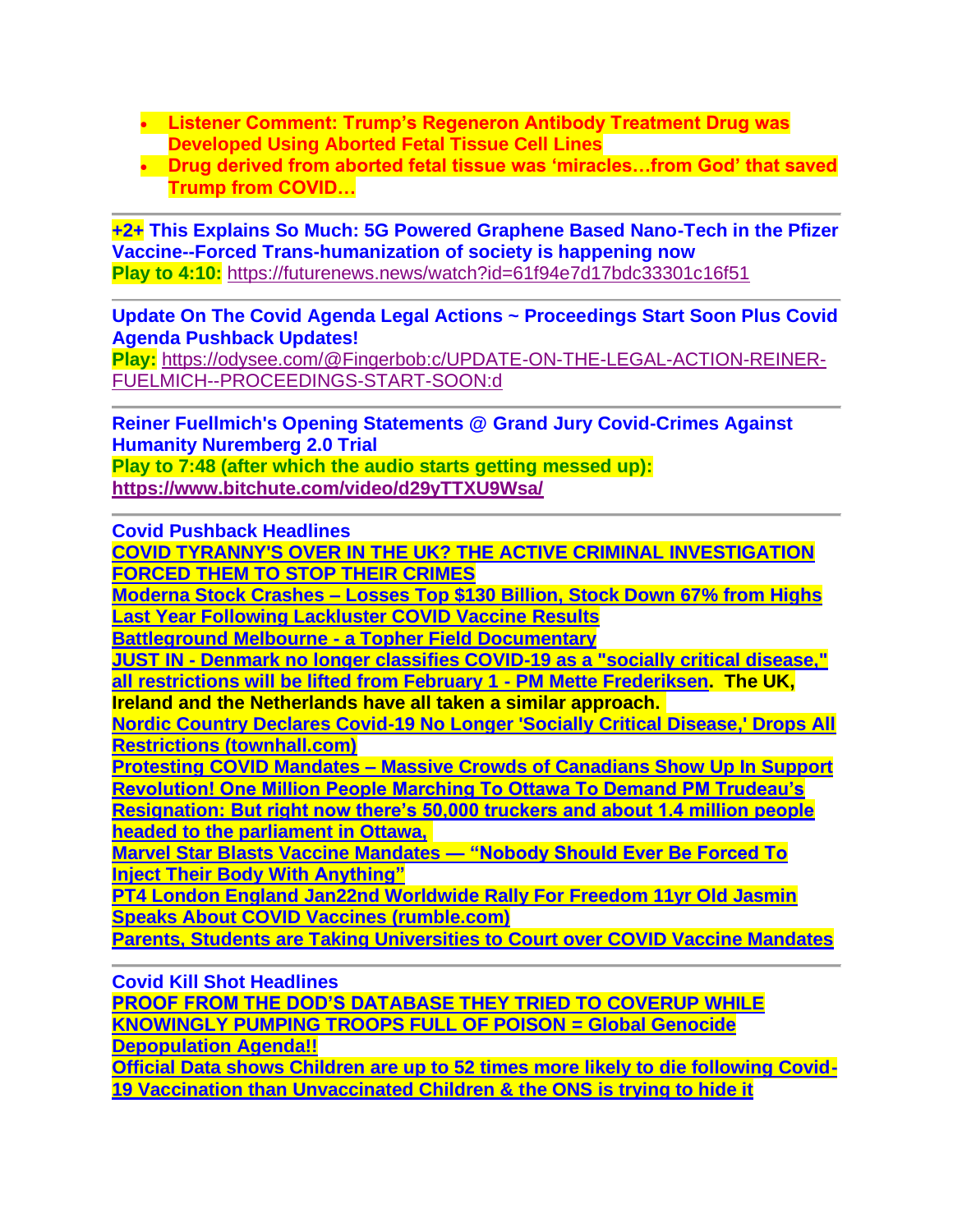- **Listener Comment: Trump's Regeneron Antibody Treatment Drug was Developed Using Aborted Fetal Tissue Cell Lines**
- **Drug derived from aborted fetal tissue was 'miracles…from God' that saved Trump from COVID…**

**+2+ This Explains So Much: 5G Powered Graphene Based Nano-Tech in the Pfizer Vaccine--Forced Trans-humanization of society is happening now Play to 4:10:** <https://futurenews.news/watch?id=61f94e7d17bdc33301c16f51>

**Update On The Covid Agenda Legal Actions ~ Proceedings Start Soon Plus Covid Agenda Pushback Updates!**

**Play:** [https://odysee.com/@Fingerbob:c/UPDATE-ON-THE-LEGAL-ACTION-REINER-](https://odysee.com/@Fingerbob:c/UPDATE-ON-THE-LEGAL-ACTION-REINER-FUELMICH--PROCEEDINGS-START-SOON:d)[FUELMICH--PROCEEDINGS-START-SOON:d](https://odysee.com/@Fingerbob:c/UPDATE-ON-THE-LEGAL-ACTION-REINER-FUELMICH--PROCEEDINGS-START-SOON:d)

**Reiner Fuellmich's Opening Statements @ Grand Jury Covid-Crimes Against Humanity Nuremberg 2.0 Trial Play to 7:48 (after which the audio starts getting messed up): <https://www.bitchute.com/video/d29yTTXU9Wsa/>**

**Covid Pushback Headlines**

**[COVID TYRANNY'S OVER IN THE UK? THE ACTIVE CRIMINAL INVESTIGATION](https://futurenews.news/watch?id=61e878da67828c0395150eea)  [FORCED THEM TO STOP THEIR CRIMES](https://futurenews.news/watch?id=61e878da67828c0395150eea)**

**Moderna Stock Crashes – [Losses Top \\$130 Billion, Stock Down 67% from Highs](https://nworeport.me/2022/01/23/moderna-stock-crashes-losses-top-130-billion-stock-down-67-from-highs-last-year-following-lackluster-covid-vaccine-results/)  [Last Year Following Lackluster COVID Vaccine](https://nworeport.me/2022/01/23/moderna-stock-crashes-losses-top-130-billion-stock-down-67-from-highs-last-year-following-lackluster-covid-vaccine-results/) Results**

**Battleground Melbourne - [a Topher Field Documentary](https://www.bitchute.com/video/jHStAFtFKDTV/)**

**JUST IN - [Denmark no longer classifies COVID-19 as a "socially critical disease,"](https://freerepublic.com/focus/f-chat/4032877/posts)  [all restrictions will be lifted from February 1 -](https://freerepublic.com/focus/f-chat/4032877/posts) PM Mette Frederiksen. The UK,** 

**Ireland and the Netherlands have all taken a similar approach.**

**[Nordic Country Declares Covid-19 No Longer 'Socially Critical Disease,' Drops All](https://townhall.com/tipsheet/leahbarkoukis/2022/01/27/denmark-covid-classification-n2602405)  [Restrictions \(townhall.com\)](https://townhall.com/tipsheet/leahbarkoukis/2022/01/27/denmark-covid-classification-n2602405)**

**Protesting COVID Mandates – [Massive Crowds of Canadians Show Up In Support](https://www.thegatewaypundit.com/2022/01/truckers-freedom-convoy-driving-canada-protesting-vaccine-mandates-crowds-country-men-women-show-support/) [Revolution! One Million People Marching To Ottawa To Demand PM Trudeau's](https://www.infowars.com/posts/revolution-one-million-people-marching-to-ottawa-to-demand-pm-trudeaus-resignation/)  Resignation: [But right now there's 50,000 truckers and about 1.4 million people](https://www.infowars.com/posts/revolution-one-million-people-marching-to-ottawa-to-demand-pm-trudeaus-resignation/)** 

**[headed to the parliament in Ottawa,](https://www.infowars.com/posts/revolution-one-million-people-marching-to-ottawa-to-demand-pm-trudeaus-resignation/)**

**[Marvel Star Blasts Vaccine Mandates —](https://nworeport.me/2022/01/30/marvel-star-blasts-vaccine-mandates-nobody-should-ever-be-forced-to-inject-their-body-with-anything/) "Nobody Should Ever Be Forced To [Inject Their Body With](https://nworeport.me/2022/01/30/marvel-star-blasts-vaccine-mandates-nobody-should-ever-be-forced-to-inject-their-body-with-anything/) Anything"**

**[PT4 London England Jan22nd Worldwide Rally For Freedom 11yr Old Jasmin](https://rumble.com/vtiwpt-pt4-london-england-jan22nd-worldwide-rally-for-freedom-11yr-old-jasmin-spea.html)  [Speaks About COVID Vaccines \(rumble.com\)](https://rumble.com/vtiwpt-pt4-london-england-jan22nd-worldwide-rally-for-freedom-11yr-old-jasmin-spea.html)**

**[Parents, Students are Taking Universities to Court over COVID Vaccine Mandates](https://activistpost.us1.list-manage.com/track/click?u=3ac8bebe085f73ea3503bbda3&id=33f408d955&e=a6a82b817e)**

**Covid Kill Shot Headlines**

**[PROOF FROM THE DOD'S DATABASE THEY TRIED TO COVERUP WHILE](http://darrellhines.net/2022/01/30/proof-from-the-dods-database-they-tried-to-coverup-while-knowingly-pumping-troops-full-of-poison-global-genocide-depopulation-agenda/)  [KNOWINGLY PUMPING TROOPS FULL OF POISON](http://darrellhines.net/2022/01/30/proof-from-the-dods-database-they-tried-to-coverup-while-knowingly-pumping-troops-full-of-poison-global-genocide-depopulation-agenda/) = Global Genocide [Depopulation](http://darrellhines.net/2022/01/30/proof-from-the-dods-database-they-tried-to-coverup-while-knowingly-pumping-troops-full-of-poison-global-genocide-depopulation-agenda/) Agenda!!**

**[Official Data shows Children are up to 52 times more likely to die following Covid-](https://dailyexpose.uk/2022/01/29/ons-data-covid-vaccinated-children-52x-more-likely-to-die/)[19 Vaccination than Unvaccinated Children & the ONS is trying to hide it](https://dailyexpose.uk/2022/01/29/ons-data-covid-vaccinated-children-52x-more-likely-to-die/)**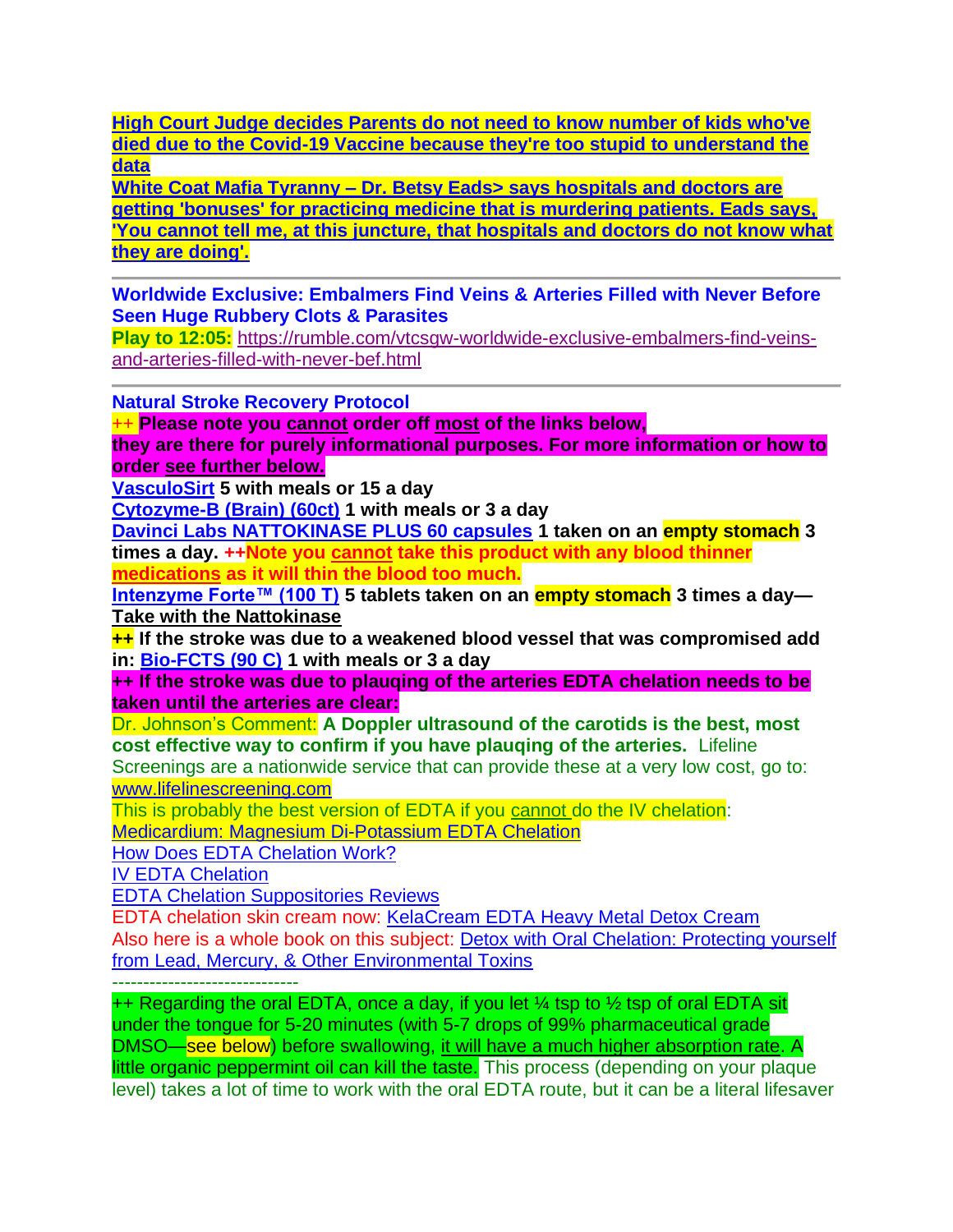**[High Court Judge decides Parents do not need to know number of kids who've](https://dailyexpose.uk/2022/02/01/judge-decides-kids-covid-vaccine-deaths-confidential/)  [died due to the Covid-19 Vaccine because they're too stupid to understand the](https://dailyexpose.uk/2022/02/01/judge-decides-kids-covid-vaccine-deaths-confidential/)  [data](https://dailyexpose.uk/2022/02/01/judge-decides-kids-covid-vaccine-deaths-confidential/)**

**White Coat Mafia Tyranny – [Dr. Betsy Eads> says hospitals and doctors are](https://usawatchdog.com/white-coat-mafia-tyranny-dr-betsy-eads/)  [getting 'bonuses' for practicing medicine that is murdering patients. Eads says,](https://usawatchdog.com/white-coat-mafia-tyranny-dr-betsy-eads/)  ['You cannot tell me, at this juncture, that hospitals and doctors do not know what](https://usawatchdog.com/white-coat-mafia-tyranny-dr-betsy-eads/)  [they are doing'.](https://usawatchdog.com/white-coat-mafia-tyranny-dr-betsy-eads/)**

**Worldwide Exclusive: Embalmers Find Veins & Arteries Filled with Never Before Seen Huge Rubbery Clots & Parasites**

**Play to 12:05:** [https://rumble.com/vtcsgw-worldwide-exclusive-embalmers-find-veins](https://rumble.com/vtcsgw-worldwide-exclusive-embalmers-find-veins-and-arteries-filled-with-never-bef.html)[and-arteries-filled-with-never-bef.html](https://rumble.com/vtcsgw-worldwide-exclusive-embalmers-find-veins-and-arteries-filled-with-never-bef.html)

**Natural Stroke Recovery Protocol**

++ **Please note you cannot order off most of the links below,** 

**they are there for purely informational purposes. For more information or how to order see further below.**

**[VasculoSirt](https://shop.bioticsresearch.com/products/vasculosirt) 5 with meals or 15 a day**

**[Cytozyme-B \(Brain\) \(60ct\)](http://www.bioticsresearch.com/node/1540) 1 with meals or 3 a day**

**[Davinci Labs NATTOKINASE PLUS 60 capsules](https://anovahealth.com/vitamin/minerals/davinci-labs-nattokinase-plusa-60-capsules/) 1 taken on an empty stomach 3 times a day. ++Note you cannot take this product with any blood thinner medications as it will thin the blood too much.**

**[Intenzyme Forte™ \(100 T\)](https://www.bioticsresearch.com/node/1628) 5 tablets taken on an empty stomach 3 times a day— Take with the Nattokinase**

**++ If the stroke was due to a weakened blood vessel that was compromised add in: [Bio-FCTS \(90 C\)](http://www.bioticsresearch.com/node/2155) 1 with meals or 3 a day**

**++ If the stroke was due to plauqing of the arteries EDTA chelation needs to be taken until the arteries are clear:**

Dr. Johnson's Comment: **A Doppler ultrasound of the carotids is the best, most cost effective way to confirm if you have plauqing of the arteries.** Lifeline

Screenings are a nationwide service that can provide these at a very low cost, go to: [www.lifelinescreening.com](http://www.lifelinescreening.com/)

This is probably the best version of EDTA if you cannot do the IV chelation:

[Medicardium: Magnesium Di-Potassium EDTA Chelation](https://www.peak-health-now.com/medicardium-best-EDTA.html)

[How Does EDTA Chelation Work?](https://www.peak-health-now.com/edta_chelation.html)

[IV EDTA Chelation](https://www.peak-health-now.com/iv_chelation.html)

[EDTA Chelation Suppositories Reviews](https://www.peak-health-now.com/EDTA-chelation-suppositories-reviews.html)

EDTA chelation skin cream now: [KelaCream EDTA Heavy Metal Detox Cream](https://www.amazon.com/KelaCream-Heavy-Metal-Detox-Cream/dp/B072W6Y26M/ref=sr_1_2?crid=9PQE4OQRVGMI&keywords=chelation+cream&qid=1550781207&s=gateway&sprefix=chelation+cream%2Caps%2C162&sr=8-2) Also here is a whole book on this subject: [Detox with Oral Chelation: Protecting yourself](https://www.amazon.com/Detox-Oral-Chelation-Protecting-Environmental-ebook/dp/B0044KLQKA/ref=sr_1_7?crid=9PQE4OQRVGMI&keywords=chelation+cream&qid=1550781404&s=gateway&sprefix=chelation+cream%2Caps%2C162&sr=8-7)  [from Lead, Mercury, & Other Environmental Toxins](https://www.amazon.com/Detox-Oral-Chelation-Protecting-Environmental-ebook/dp/B0044KLQKA/ref=sr_1_7?crid=9PQE4OQRVGMI&keywords=chelation+cream&qid=1550781404&s=gateway&sprefix=chelation+cream%2Caps%2C162&sr=8-7)

------------------------------

 $++$  Regarding the oral EDTA, once a day, if you let  $\frac{1}{4}$  tsp to  $\frac{1}{2}$  tsp of oral EDTA sit under the tongue for 5-20 minutes (with 5-7 drops of 99% pharmaceutical grade DMSO—see below) before swallowing, it will have a much higher absorption rate. A little organic peppermint oil can kill the taste. This process (depending on your plaque level) takes a lot of time to work with the oral EDTA route, but it can be a literal lifesaver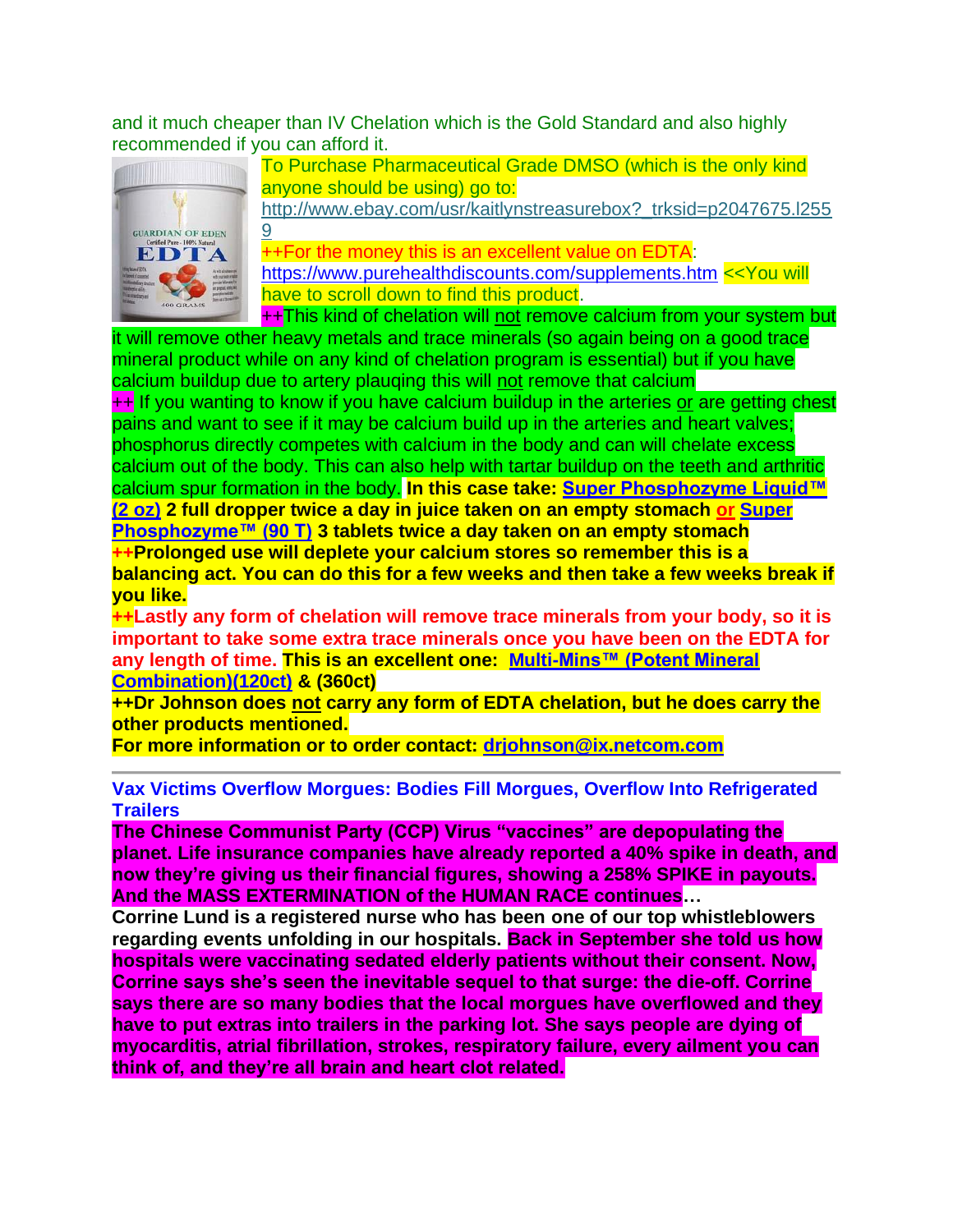and it much cheaper than IV Chelation which is the Gold Standard and also highly recommended if you can afford it.



To Purchase Pharmaceutical Grade DMSO (which is the only kind anyone should be using) go to:

http://www.ebay.com/usr/kaitlynstreasurebox? trksid=p2047675.l255 [9](http://www.ebay.com/usr/kaitlynstreasurebox?_trksid=p2047675.l2559)

++For the money this is an excellent value on EDTA: <https://www.purehealthdiscounts.com/supplements.htm> <<You will have to scroll down to find this product.

++This kind of chelation will not remove calcium from your system but

it will remove other heavy metals and trace minerals (so again being on a good trace mineral product while on any kind of chelation program is essential) but if you have calcium buildup due to artery plauqing this will not remove that calcium ++ If you wanting to know if you have calcium buildup in the arteries or are getting chest pains and want to see if it may be calcium build up in the arteries and heart valves; phosphorus directly competes with calcium in the body and can will chelate excess calcium out of the body. This can also help with tartar buildup on the teeth and arthritic calcium spur formation in the body. **In this case take: [Super Phosphozyme Liquid™](http://www.bioticsresearch.com/node/1652)  [\(2 oz\)](http://www.bioticsresearch.com/node/1652) 2 full dropper twice a day in juice taken on an empty stomach or [Super](https://www.bioticsresearch.com/node/1650)  [Phosphozyme™ \(90 T\)](https://www.bioticsresearch.com/node/1650) 3 tablets twice a day taken on an empty stomach ++Prolonged use will deplete your calcium stores so remember this is a balancing act. You can do this for a few weeks and then take a few weeks break if you like.**

**++Lastly any form of chelation will remove trace minerals from your body, so it is important to take some extra trace minerals once you have been on the EDTA for any length of time. This is an excellent one: [Multi-Mins™ \(Potent Mineral](http://www.bioticsresearch.com/node/1684)  [Combination\)\(120ct\)](http://www.bioticsresearch.com/node/1684) & (360ct)**

**++Dr Johnson does not carry any form of EDTA chelation, but he does carry the other products mentioned.** 

**For more information or to order contact: [drjohnson@ix.netcom.com](mailto:drjohnson@ix.netcom.com)**

**Vax Victims Overflow Morgues: Bodies Fill Morgues, Overflow Into Refrigerated Trailers**

**The Chinese Communist Party (CCP) Virus "vaccines" are depopulating the planet. Life insurance companies have already reported a 40% spike in death, and now they're giving us their financial figures, showing a 258% SPIKE in payouts. And the MASS EXTERMINATION of the HUMAN RACE continues…**

**Corrine Lund is a registered nurse who has been one of our top whistleblowers regarding events unfolding in our hospitals. Back in September she told us how hospitals were vaccinating sedated elderly patients without their consent. Now, Corrine says she's seen the inevitable sequel to that surge: the die-off. Corrine says there are so many bodies that the local morgues have overflowed and they have to put extras into trailers in the parking lot. She says people are dying of myocarditis, atrial fibrillation, strokes, respiratory failure, every ailment you can think of, and they're all brain and heart clot related.**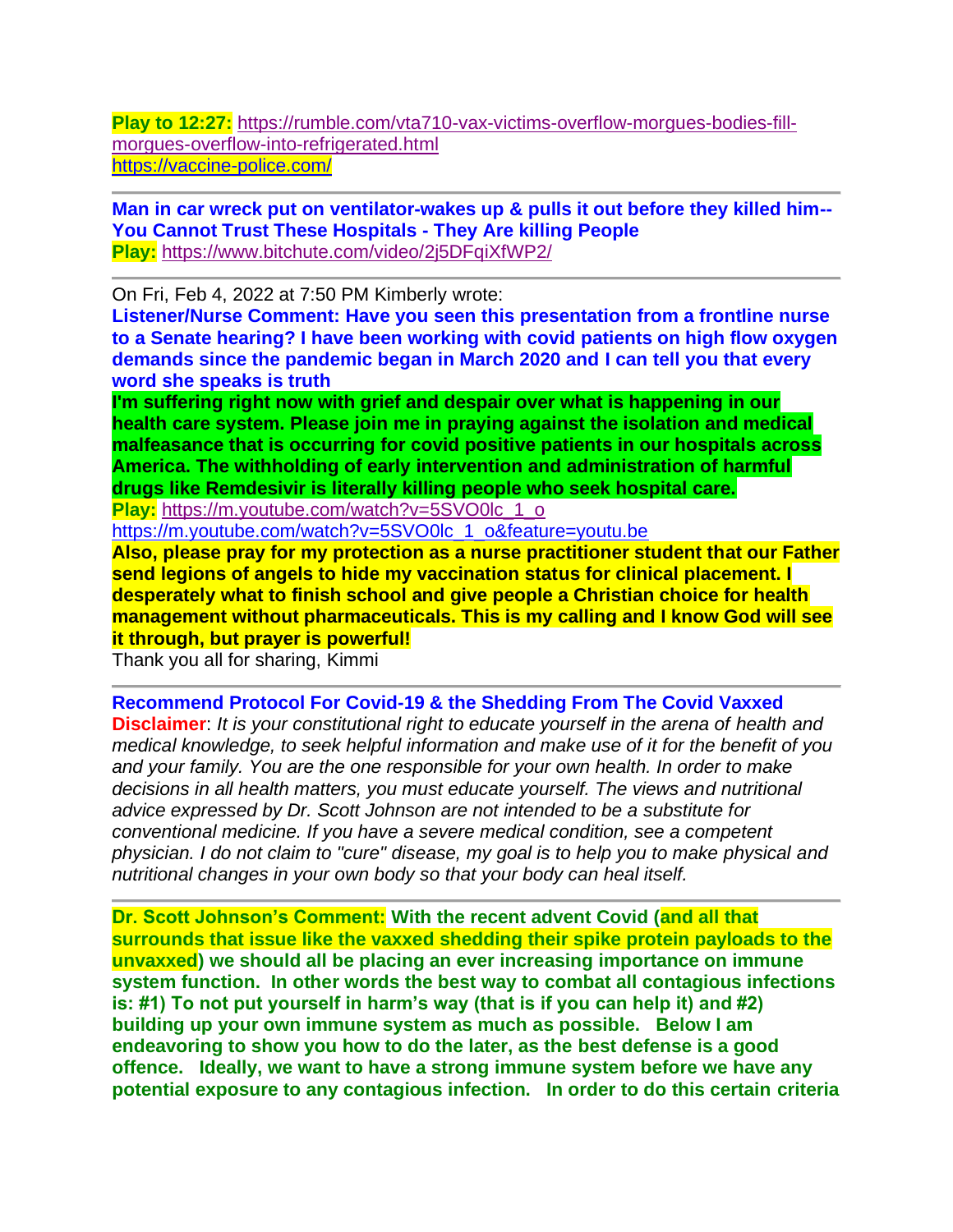**Play to 12:27:** [https://rumble.com/vta710-vax-victims-overflow-morgues-bodies-fill](https://rumble.com/vta710-vax-victims-overflow-morgues-bodies-fill-morgues-overflow-into-refrigerated.html)[morgues-overflow-into-refrigerated.html](https://rumble.com/vta710-vax-victims-overflow-morgues-bodies-fill-morgues-overflow-into-refrigerated.html) <https://vaccine-police.com/>

**Man in car wreck put on ventilator-wakes up & pulls it out before they killed him-- You Cannot Trust These Hospitals - They Are killing People Play:** <https://www.bitchute.com/video/2j5DFqiXfWP2/>

On Fri, Feb 4, 2022 at 7:50 PM Kimberly wrote:

**Listener/Nurse Comment: Have you seen this presentation from a frontline nurse to a Senate hearing? I have been working with covid patients on high flow oxygen demands since the pandemic began in March 2020 and I can tell you that every word she speaks is truth**

**I'm suffering right now with grief and despair over what is happening in our health care system. Please join me in praying against the isolation and medical malfeasance that is occurring for covid positive patients in our hospitals across America. The withholding of early intervention and administration of harmful drugs like Remdesivir is literally killing people who seek hospital care. Play:** [https://m.youtube.com/watch?v=5SVO0lc\\_1\\_o](https://m.youtube.com/watch?v=5SVO0lc_1_o)

[https://m.youtube.com/watch?v=5SVO0lc\\_1\\_o&feature=youtu.be](https://m.youtube.com/watch?v=5SVO0lc_1_o&feature=youtu.be)

**Also, please pray for my protection as a nurse practitioner student that our Father send legions of angels to hide my vaccination status for clinical placement. I desperately what to finish school and give people a Christian choice for health management without pharmaceuticals. This is my calling and I know God will see it through, but prayer is powerful!**

Thank you all for sharing, Kimmi

**Recommend Protocol For Covid-19 & the Shedding From The Covid Vaxxed**

**Disclaimer**: *It is your constitutional right to educate yourself in the arena of health and medical knowledge, to seek helpful information and make use of it for the benefit of you and your family. You are the one responsible for your own health. In order to make decisions in all health matters, you must educate yourself. The views and nutritional advice expressed by Dr. Scott Johnson are not intended to be a substitute for conventional medicine. If you have a severe medical condition, see a competent physician. I do not claim to "cure" disease, my goal is to help you to make physical and nutritional changes in your own body so that your body can heal itself.*

**Dr. Scott Johnson's Comment: With the recent advent Covid (and all that surrounds that issue like the vaxxed shedding their spike protein payloads to the unvaxxed) we should all be placing an ever increasing importance on immune system function. In other words the best way to combat all contagious infections is: #1) To not put yourself in harm's way (that is if you can help it) and #2) building up your own immune system as much as possible. Below I am endeavoring to show you how to do the later, as the best defense is a good offence. Ideally, we want to have a strong immune system before we have any potential exposure to any contagious infection. In order to do this certain criteria**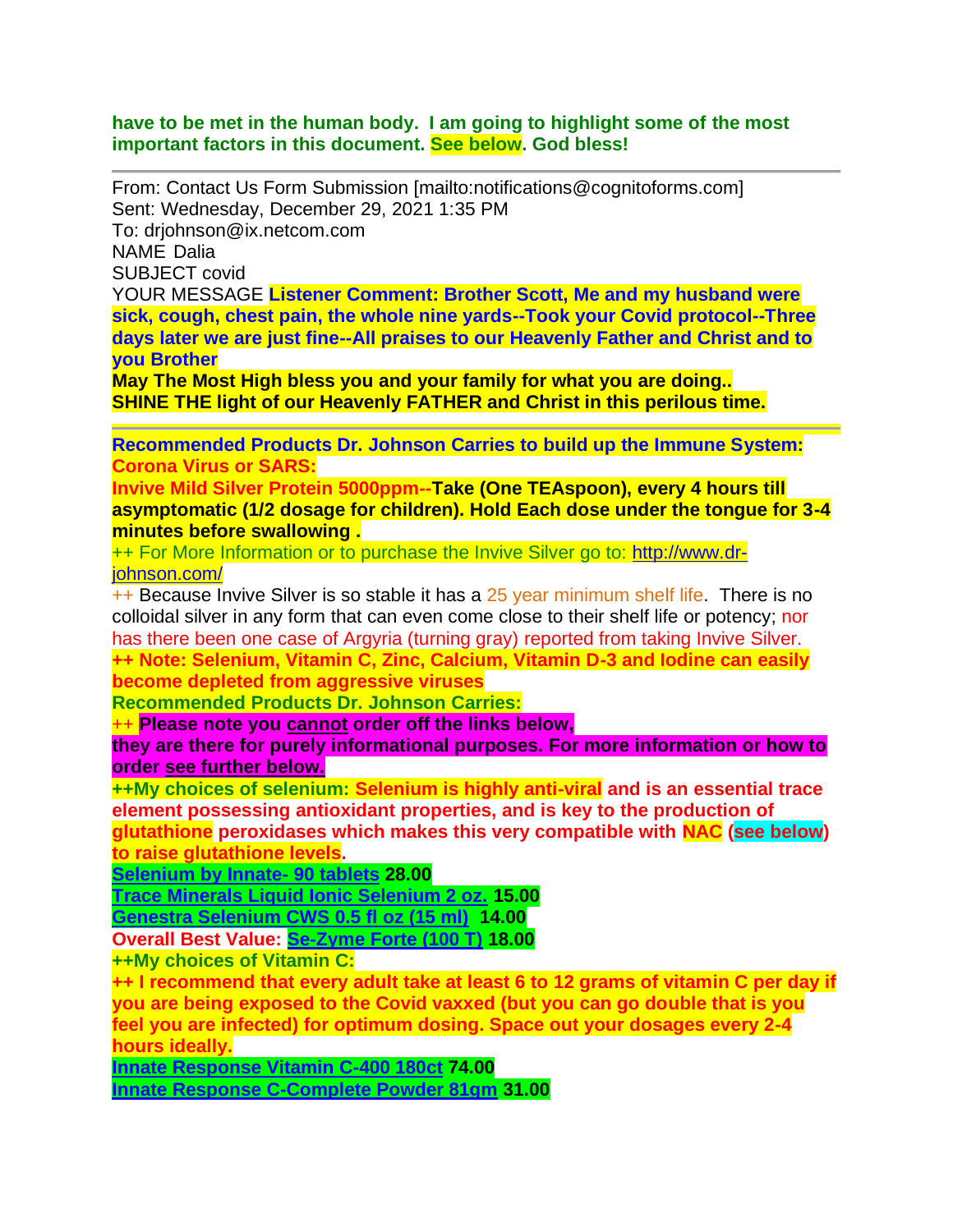#### **have to be met in the human body. I am going to highlight some of the most important factors in this document. See below. God bless!**

From: Contact Us Form Submission [mailto:notifications@cognitoforms.com] Sent: Wednesday, December 29, 2021 1:35 PM To: drjohnson@ix.netcom.com NAME Dalia SUBJECT covid YOUR MESSAGE **Listener Comment: Brother Scott, Me and my husband were sick, cough, chest pain, the whole nine yards--Took your Covid protocol--Three** 

**days later we are just fine--All praises to our Heavenly Father and Christ and to you Brother** 

**May The Most High bless you and your family for what you are doing.. SHINE THE light of our Heavenly FATHER and Christ in this perilous time.**

**Recommended Products Dr. Johnson Carries to build up the Immune System: Corona Virus or SARS:** 

**Invive Mild Silver Protein 5000ppm--Take (One TEAspoon), every 4 hours till asymptomatic (1/2 dosage for children). Hold Each dose under the tongue for 3-4 minutes before swallowing .**

++ For More Information or to purchase the Invive Silver go to: [http://www.dr](http://www.dr-johnson.com/)[johnson.com/](http://www.dr-johnson.com/)

++ Because Invive Silver is so stable it has a 25 year minimum shelf life. There is no colloidal silver in any form that can even come close to their shelf life or potency; nor has there been one case of Argyria (turning gray) reported from taking Invive Silver. **++ Note: Selenium, Vitamin C, Zinc, Calcium, Vitamin D-3 and Iodine can easily become depleted from aggressive viruses**

**Recommended Products Dr. Johnson Carries:** 

++ **Please note you cannot order off the links below,** 

**they are there for purely informational purposes. For more information or how to order see further below.**

**++My choices of selenium: Selenium is highly anti-viral and is an essential trace element possessing antioxidant properties, and is key to the production of glutathione peroxidases which makes this very compatible with NAC (see below) to raise glutathione levels.**

**[Selenium by Innate-](https://anovahealth.com/vitamin/minerals/innate-response-selenium-90-tablet/) 90 tablets 28.00**

**[Trace Minerals Liquid Ionic Selenium 2 oz.](https://anovahealth.com/trace-minerals-liquid-ionic-selenium-2-oz/) 15.00**

**[Genestra Selenium CWS 0.5 fl oz \(15 ml\)](https://anovahealth.com/genestra-selenium-cws-0-5-fl-oz-15-ml/) 14.00**

**Overall Best Value: [Se-Zyme Forte \(100 T\)](https://www.bioticsresearch.com/node/1702) 18.00**

**++My choices of Vitamin C:**

**++ I recommend that every adult take at least 6 to 12 grams of vitamin C per day if you are being exposed to the Covid vaxxed (but you can go double that is you feel you are infected) for optimum dosing. Space out your dosages every 2-4 hours ideally.**

**[Innate Response Vitamin C-400 180ct](https://anovahealth.com/vitamin/minerals/innate-response-vitamin-c-400-180-count-tablet/) 74.00**

**[Innate Response C-Complete Powder 81gm](https://anovahealth.com/vitamin/minerals/innate-response-c-complete-powder-81-gm/) 31.00**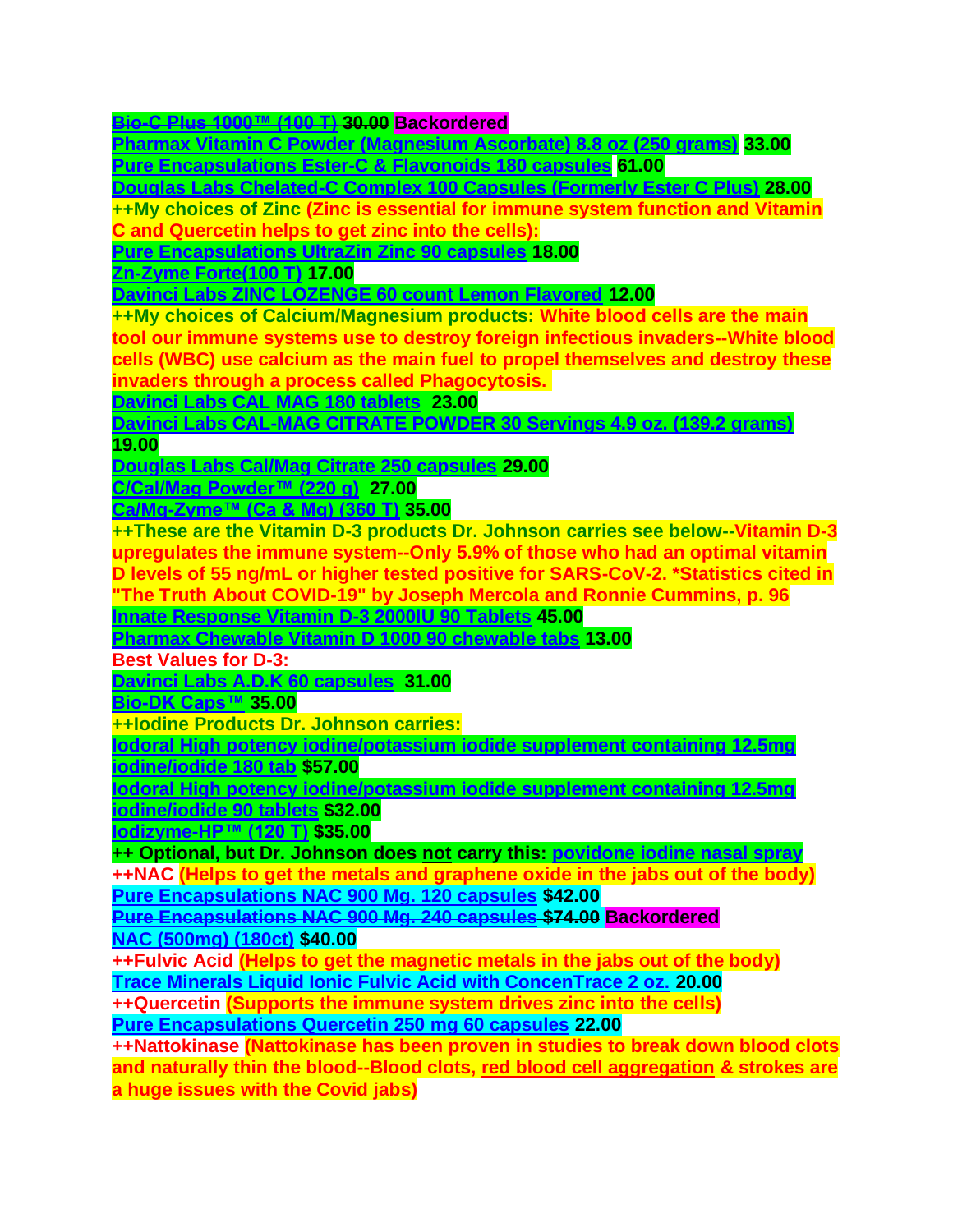**[Bio-C Plus 1000™ \(100 T\)](https://www.bioticsresearch.com/node/1511) 30.00 Backordered**

**[Pharmax Vitamin C Powder \(Magnesium Ascorbate\) 8.8 oz \(250 grams\)](https://anovahealth.com/pharmax-vitamin-c-powder-magnesium-ascorbate-8-8-oz-250-grams/) 33.00 [Pure Encapsulations Ester-C & Flavonoids 180 capsules](https://anovahealth.com/pure-encapsulations-ester-c-flavonoids-180-capsules/) 61.00**

**[Douglas Labs Chelated-C Complex 100 Capsules \(Formerly Ester C Plus\)](https://anovahealth.com/douglas-labs-ester-c-complex-500-mg-100-capsules/) 28.00**

**++My choices of Zinc (Zinc is essential for immune system function and Vitamin C and Quercetin helps to get zinc into the cells):**

**[Pure Encapsulations UltraZin Zinc 90 capsules](https://anovahealth.com/pure-encapsulations-ultrazin-zinc-90-capsules/) 18.00**

**[Zn-Zyme Forte\(100 T\)](https://shop.bioticsresearch.com/products/zn-zyme-forte) 17.00**

**[Davinci Labs ZINC LOZENGE 60 count Lemon Flavored](https://anovahealth.com/davinci-labs-zinc-lozenge-60-count-lemon-flavored/) 12.00**

**++My choices of Calcium/Magnesium products: White blood cells are the main tool our immune systems use to destroy foreign infectious invaders--White blood cells (WBC) use calcium as the main fuel to propel themselves and destroy these invaders through a process called Phagocytosis.**

**[Davinci Labs CAL MAG 180 tablets](https://anovahealth.com/davinci-labs-cal-mag-180-tablets/) 23.00**

**[Davinci Labs CAL-MAG CITRATE POWDER 30 Servings 4.9 oz. \(139.2 grams\)](https://anovahealth.com/davinci-labs-cal-mag-citrate-powder-30-servings-4-9-oz-139-2-grams/)**

**19.00**

**[Douglas Labs Cal/Mag Citrate 250 capsules](https://anovahealth.com/douglas-labs-cal-mag-citrate-250-capsules/) 29.00**

**[C/Cal/Mag Powder™](https://www.bioticsresearch.com/node/1669) (220 g) 27.00**

**[Ca/Mg-Zyme™ \(Ca & Mg\) \(360 T\)](https://www.bioticsresearch.com/node/1679) 35.00**

**++These are the Vitamin D-3 products Dr. Johnson carries see below--Vitamin D-3 upregulates the immune system--Only 5.9% of those who had an optimal vitamin D levels of 55 ng/mL or higher tested positive for SARS-CoV-2. \*Statistics cited in "The Truth About COVID-19" by Joseph Mercola and Ronnie Cummins, p. 96 [Innate Response Vitamin D-3 2000IU 90 Tablets](https://anovahealth.com/vitamin/minerals/innate-response-vitamin-d-3-2000iu-90-tablets/) 45.00**

**[Pharmax Chewable Vitamin](https://anovahealth.com/pharmax-chewable-vitamin-d-1000-90-chewable-tabs/) D 1000 90 chewable tabs 13.00**

**Best Values for D-3:**

**[Davinci Labs A.D.K 60 capsules](https://anovahealth.com/davinci-labs-a-d-k-60-capsules/) 31.00**

**[Bio-DK Caps™](https://www.bioticsresearch.com/products/bio-dk-caps%E2%84%A2) 35.00**

**++Iodine Products Dr. Johnson carries:**

**[Iodoral High potency iodine/potassium iodide supplement containing 12.5mg](https://anovahealth.com/vitamin/minerals/iodoral-high-potency-iodine-potassium-iodide-supplement-containing-12-5mg-iodine-iodide-180-tab/)  [iodine/iodide 180 tab](https://anovahealth.com/vitamin/minerals/iodoral-high-potency-iodine-potassium-iodide-supplement-containing-12-5mg-iodine-iodide-180-tab/) \$57.00**

**[Iodoral High potency iodine/potassium iodide supplement containing 12.5mg](https://anovahealth.com/iodoral-high-potency-iodine-potassium-iodide-supplement-containing-12-5mg-iodine-iodide-90-tablets/)**

**[iodine/iodide 90 tablets](https://anovahealth.com/iodoral-high-potency-iodine-potassium-iodide-supplement-containing-12-5mg-iodine-iodide-90-tablets/) \$32.00**

**[Iodizyme-HP™ \(120 T\)](http://www.bioticsresearch.com/node/2773) \$35.00**

**++ Optional, but Dr. Johnson does not carry this: [povidone iodine nasal spray](https://viraldine.com/)** **++NAC (Helps to get the metals and graphene oxide in the jabs out of the body) [Pure Encapsulations NAC 900 Mg. 120 capsules](https://anovahealth.com/pure-encapsulations-nac-900-mg-120-capsules/) \$42.00**

**[Pure Encapsulations NAC 900 Mg. 240 capsules](https://anovahealth.com/pure-encapsulations-nac-900-mg-240-capsules/) \$74.00 Backordered [NAC \(500mg\) \(180ct\)](https://shop.bioticsresearch.com/products/nac) \$40.00**

**++Fulvic Acid (Helps to get the magnetic metals in the jabs out of the body) [Trace Minerals Liquid Ionic Fulvic Acid with ConcenTrace 2 oz.](https://anovahealth.com/miscellaneous/trace-minerals-liquid-ionic-fulvic-acid-with-concentracea-2-oz/) 20.00** 

**++Quercetin (Supports the immune system drives zinc into the cells) Pure Encapsulations Quercetin 250 mg 60 capsules 22.00**

**++Nattokinase (Nattokinase has been proven in studies to break down blood clots and naturally thin the blood--Blood clots, red blood cell aggregation & strokes are a huge issues with the Covid jabs)**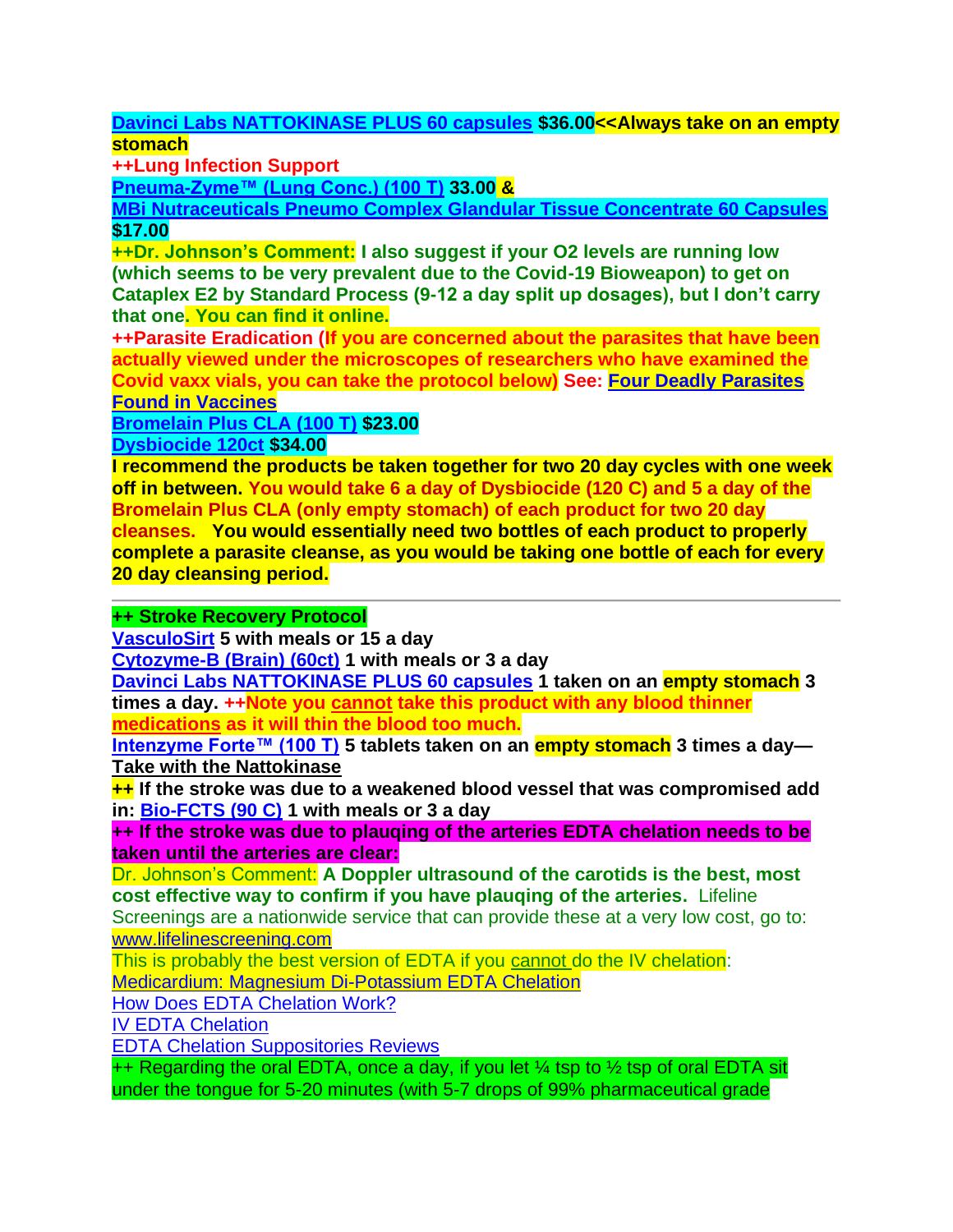**[Davinci Labs NATTOKINASE PLUS 60 capsules](https://anovahealth.com/vitamin/minerals/davinci-labs-nattokinase-plusa-60-capsules/) \$36.00<<Always take on an empty stomach**

**++Lung Infection Support**

**[Pneuma-Zyme™ \(Lung Conc.\) \(100 T\)](http://www.bioticsresearch.com/node/1657) 33.00 &**

**[MBi Nutraceuticals Pneumo Complex Glandular Tissue Concentrate 60 Capsules](https://anovahealth.com/mbi-nutraceuticals-pneumo-complex-glandular-tissue-concentrate-60-capsules/) \$17.00**

**++Dr. Johnson's Comment: I also suggest if your O2 levels are running low (which seems to be very prevalent due to the Covid-19 Bioweapon) to get on Cataplex E2 by Standard Process (9-12 a day split up dosages), but I don't carry that one. You can find it online.**

**++Parasite Eradication (If you are concerned about the parasites that have been actually viewed under the microscopes of researchers who have examined the Covid vaxx vials, you can take the protocol below) See: [Four Deadly Parasites](https://elcolectivodeuno.wordpress.com/2021/10/25/four-deadly-parasites-found-in-vaccines/)  [Found in Vaccines](https://elcolectivodeuno.wordpress.com/2021/10/25/four-deadly-parasites-found-in-vaccines/)**

**[Bromelain Plus CLA \(100 T\)](https://shop.bioticsresearch.com/products/bromelain-plus-cla) \$23.00**

**[Dysbiocide 120ct](https://shop.bioticsresearch.com/products/dysbiocide) \$34.00**

**I recommend the products be taken together for two 20 day cycles with one week off in between. You would take 6 a day of Dysbiocide (120 C) and 5 a day of the Bromelain Plus CLA (only empty stomach) of each product for two 20 day cleanses. You would essentially need two bottles of each product to properly complete a parasite cleanse, as you would be taking one bottle of each for every 20 day cleansing period.** 

# **++ Stroke Recovery Protocol**

**[VasculoSirt](https://shop.bioticsresearch.com/products/vasculosirt) 5 with meals or 15 a day**

**[Cytozyme-B \(Brain\) \(60ct\)](http://www.bioticsresearch.com/node/1540) 1 with meals or 3 a day**

**[Davinci Labs NATTOKINASE](https://anovahealth.com/vitamin/minerals/davinci-labs-nattokinase-plusa-60-capsules/) PLUS 60 capsules 1 taken on an empty stomach 3 times a day. ++Note you cannot take this product with any blood thinner medications as it will thin the blood too much.**

**[Intenzyme Forte™ \(100 T\)](https://www.bioticsresearch.com/node/1628) 5 tablets taken on an empty stomach 3 times a day— Take with the Nattokinase**

**++ If the stroke was due to a weakened blood vessel that was compromised add in: [Bio-FCTS \(90 C\)](http://www.bioticsresearch.com/node/2155) 1 with meals or 3 a day**

**++ If the stroke was due to plauqing of the arteries EDTA chelation needs to be taken until the arteries are clear:**

Dr. Johnson's Comment: **A Doppler ultrasound of the carotids is the best, most cost effective way to confirm if you have plauqing of the arteries.** Lifeline

Screenings are a nationwide service that can provide these at a very low cost, go to: [www.lifelinescreening.com](http://www.lifelinescreening.com/)

This is probably the best version of EDTA if you cannot do the IV chelation:

[Medicardium: Magnesium Di-Potassium EDTA Chelation](https://www.peak-health-now.com/medicardium-best-EDTA.html)

[How Does EDTA Chelation Work?](https://www.peak-health-now.com/edta_chelation.html)

[IV EDTA Chelation](https://www.peak-health-now.com/iv_chelation.html)

[EDTA Chelation Suppositories Reviews](https://www.peak-health-now.com/EDTA-chelation-suppositories-reviews.html)

 $++$  Regarding the oral EDTA, once a day, if you let  $\frac{1}{4}$  tsp to  $\frac{1}{2}$  tsp of oral EDTA sit under the tongue for 5-20 minutes (with 5-7 drops of 99% pharmaceutical grade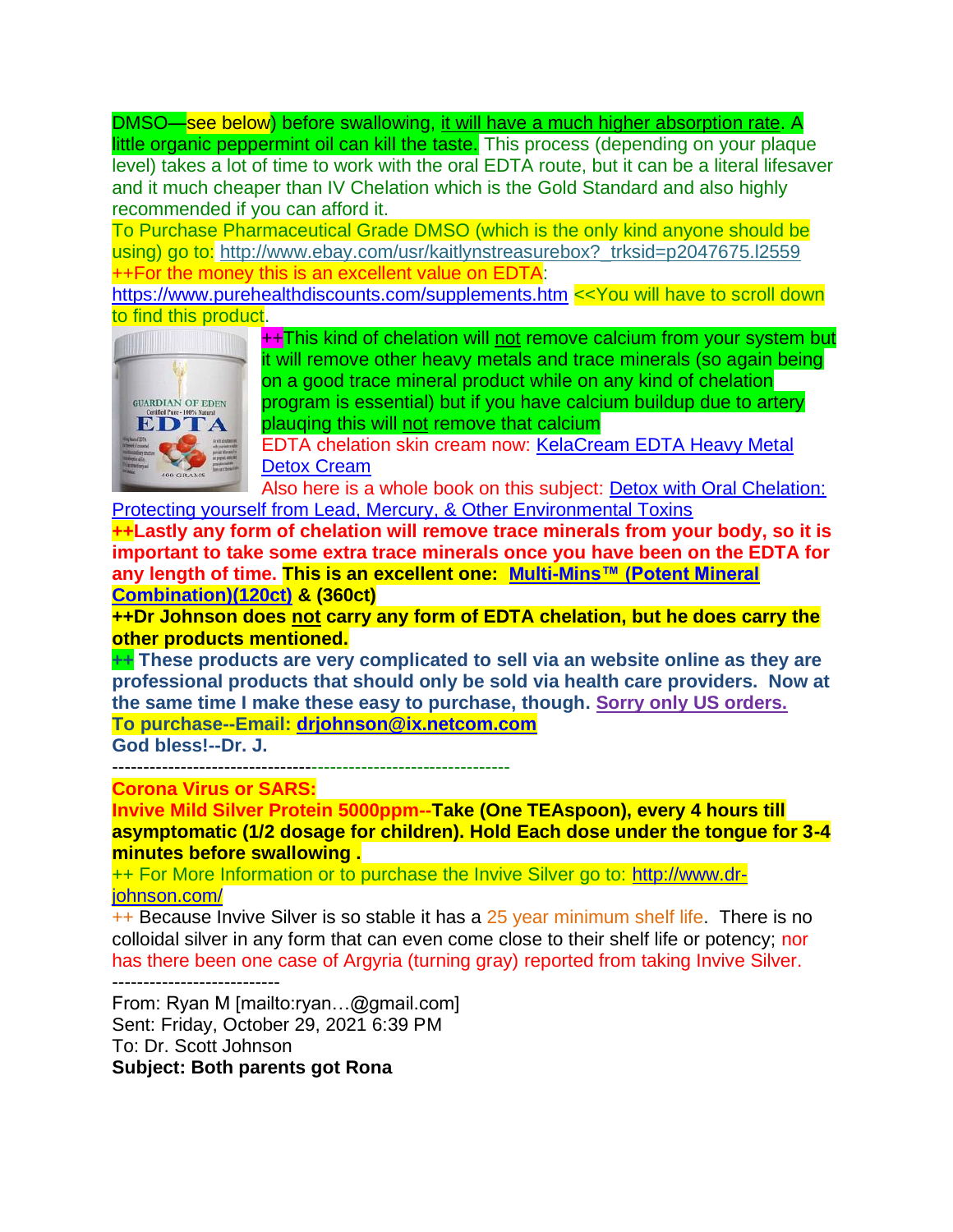DMSO—see below) before swallowing, it will have a much higher absorption rate. A little organic peppermint oil can kill the taste. This process (depending on your plaque level) takes a lot of time to work with the oral EDTA route, but it can be a literal lifesaver and it much cheaper than IV Chelation which is the Gold Standard and also highly recommended if you can afford it.

To Purchase Pharmaceutical Grade DMSO (which is the only kind anyone should be using) go to: http://www.ebay.com/usr/kaitlynstreasurebox? trksid=p2047675.l2559 ++For the money this is an excellent value on EDTA:

<https://www.purehealthdiscounts.com/supplements.htm> <<You will have to scroll down to find this product.



++This kind of chelation will not remove calcium from your system but it will remove other heavy metals and trace minerals (so again being on a good trace mineral product while on any kind of chelation program is essential) but if you have calcium buildup due to artery plauqing this will not remove that calcium

EDTA chelation skin cream now: [KelaCream EDTA Heavy Metal](https://www.amazon.com/KelaCream-Heavy-Metal-Detox-Cream/dp/B072W6Y26M/ref=sr_1_2?crid=9PQE4OQRVGMI&keywords=chelation+cream&qid=1550781207&s=gateway&sprefix=chelation+cream%2Caps%2C162&sr=8-2)  [Detox Cream](https://www.amazon.com/KelaCream-Heavy-Metal-Detox-Cream/dp/B072W6Y26M/ref=sr_1_2?crid=9PQE4OQRVGMI&keywords=chelation+cream&qid=1550781207&s=gateway&sprefix=chelation+cream%2Caps%2C162&sr=8-2)

Also here is a whole book on this subject: [Detox with Oral Chelation:](https://www.amazon.com/Detox-Oral-Chelation-Protecting-Environmental-ebook/dp/B0044KLQKA/ref=sr_1_7?crid=9PQE4OQRVGMI&keywords=chelation+cream&qid=1550781404&s=gateway&sprefix=chelation+cream%2Caps%2C162&sr=8-7)  [Protecting yourself from Lead, Mercury, & Other Environmental Toxins](https://www.amazon.com/Detox-Oral-Chelation-Protecting-Environmental-ebook/dp/B0044KLQKA/ref=sr_1_7?crid=9PQE4OQRVGMI&keywords=chelation+cream&qid=1550781404&s=gateway&sprefix=chelation+cream%2Caps%2C162&sr=8-7)

**++Lastly any form of chelation will remove trace minerals from your body, so it is important to take some extra trace minerals once you have been on the EDTA for any length of time. This is an excellent one: [Multi-Mins™ \(Potent Mineral](http://www.bioticsresearch.com/node/1684)  [Combination\)\(120ct\)](http://www.bioticsresearch.com/node/1684) & (360ct)**

**++Dr Johnson does not carry any form of EDTA chelation, but he does carry the other products mentioned.** 

**++ These products are very complicated to sell via an website online as they are professional products that should only be sold via health care providers. Now at the same time I make these easy to purchase, though. Sorry only US orders. To purchase--Email: [drjohnson@ix.netcom.com](mailto:drjohnson@ix.netcom.com)**

**God bless!--Dr. J.** 

----------------------------------------------------------------

**Corona Virus or SARS:** 

**Invive Mild Silver Protein 5000ppm--Take (One TEAspoon), every 4 hours till asymptomatic (1/2 dosage for children). Hold Each dose under the tongue for 3-4 minutes before swallowing .**

++ For More Information or to purchase the Invive Silver go to: [http://www.dr](http://www.dr-johnson.com/)[johnson.com/](http://www.dr-johnson.com/)

++ Because Invive Silver is so stable it has a 25 year minimum shelf life. There is no colloidal silver in any form that can even come close to their shelf life or potency; nor has there been one case of Argyria (turning gray) reported from taking Invive Silver. ---------------------------

From: Ryan M [mailto:ryan…@gmail.com] Sent: Friday, October 29, 2021 6:39 PM To: Dr. Scott Johnson **Subject: Both parents got Rona**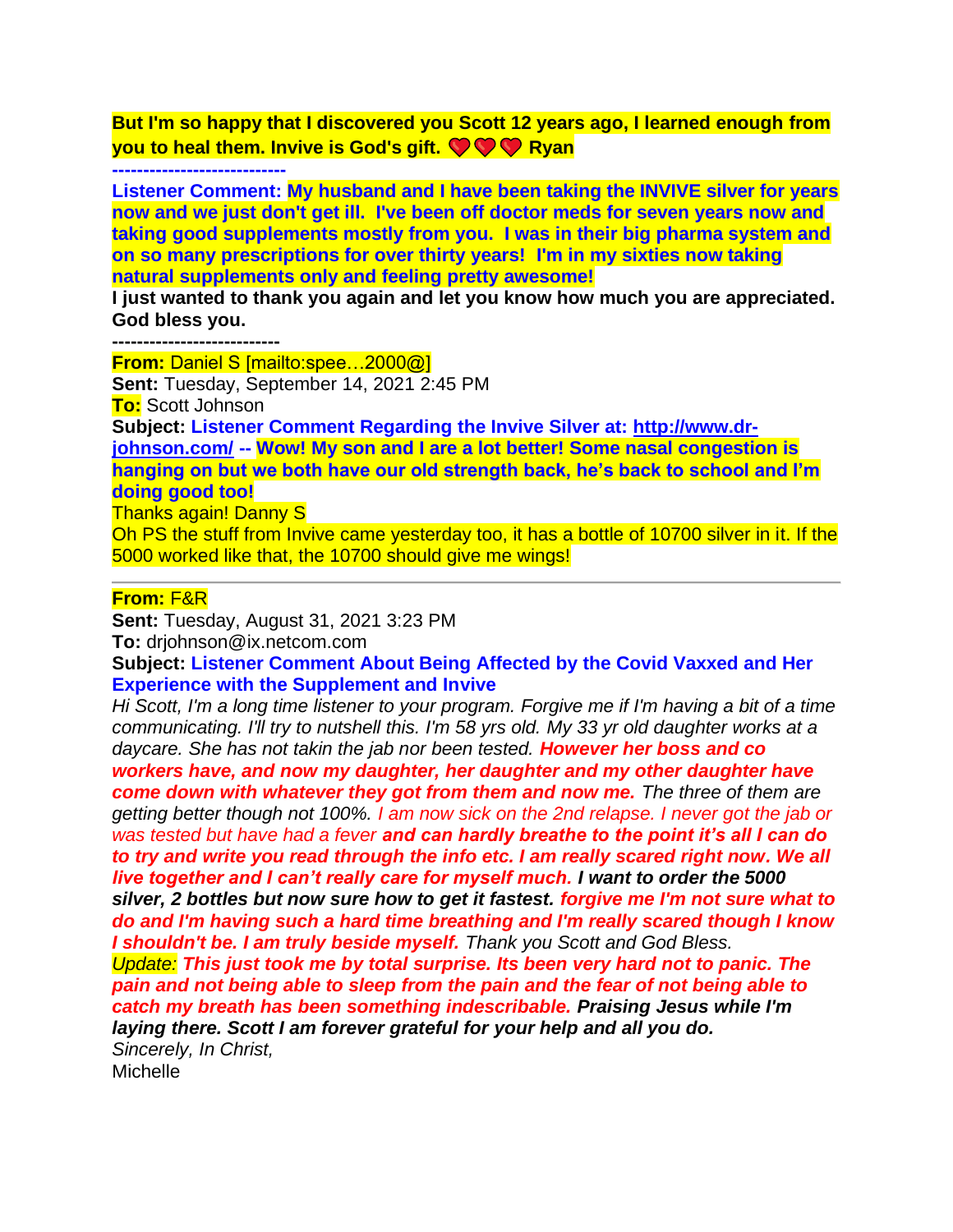**But I'm so happy that I discovered you Scott 12 years ago, I learned enough from you to heal them. Invive is God's gift. COMP Ryan** 

#### **----------------------------**

**Listener Comment: My husband and I have been taking the INVIVE silver for years now and we just don't get ill. I've been off doctor meds for seven years now and taking good supplements mostly from you. I was in their big pharma system and on so many prescriptions for over thirty years! I'm in my sixties now taking natural supplements only and feeling pretty awesome!**

**I just wanted to thank you again and let you know how much you are appreciated. God bless you.**

**---------------------------**

**From:** Daniel S [mailto:spee…2000@] **Sent:** Tuesday, September 14, 2021 2:45 PM **To:** Scott Johnson **Subject: Listener Comment Regarding the Invive Silver at: [http://www.dr](http://www.dr-johnson.com/)[johnson.com/](http://www.dr-johnson.com/) -- Wow! My son and I are a lot better! Some nasal congestion is hanging on but we both have our old strength back, he's back to school and I'm doing good too!** Thanks again! Danny S

Oh PS the stuff from Invive came yesterday too, it has a bottle of 10700 silver in it. If the 5000 worked like that, the 10700 should give me wings!

### **From:** F&R

**Sent:** Tuesday, August 31, 2021 3:23 PM

**To:** drjohnson@ix.netcom.com

**Subject: Listener Comment About Being Affected by the Covid Vaxxed and Her Experience with the Supplement and Invive**

*Hi Scott, I'm a long time listener to your program. Forgive me if I'm having a bit of a time communicating. I'll try to nutshell this. I'm 58 yrs old. My 33 yr old daughter works at a daycare. She has not takin the jab nor been tested. However her boss and co workers have, and now my daughter, her daughter and my other daughter have come down with whatever they got from them and now me. The three of them are getting better though not 100%. I am now sick on the 2nd relapse. I never got the jab or was tested but have had a fever and can hardly breathe to the point it's all I can do to try and write you read through the info etc. I am really scared right now. We all live together and I can't really care for myself much. I want to order the 5000 silver, 2 bottles but now sure how to get it fastest. forgive me I'm not sure what to do and I'm having such a hard time breathing and I'm really scared though I know I shouldn't be. I am truly beside myself. Thank you Scott and God Bless. Update: This just took me by total surprise. Its been very hard not to panic. The pain and not being able to sleep from the pain and the fear of not being able to catch my breath has been something indescribable. Praising Jesus while I'm laying there. Scott I am forever grateful for your help and all you do. Sincerely, In Christ,* Michelle